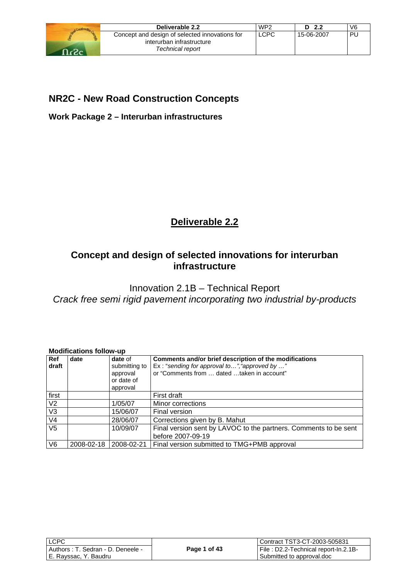

| Deliverable 2.2                                | WP <sub>2</sub> | D <sub>2.2</sub> | V <sub>6</sub> |
|------------------------------------------------|-----------------|------------------|----------------|
| Concept and design of selected innovations for | <b>LCPC</b>     | 15-06-2007       | <b>PU</b>      |
| interurban infrastructure                      |                 |                  |                |
| Technical report                               |                 |                  |                |

## **NR2C - New Road Construction Concepts**

**Work Package 2 – Interurban infrastructures** 

## **Deliverable 2.2**

## **Concept and design of selected innovations for interurban infrastructure**

Innovation 2.1B – Technical Report *Crack free semi rigid pavement incorporating two industrial by-products* 

## **Modifications follow-up**

| Ref<br>draft      | date       | date of<br>submitting to<br>approval<br>or date of<br>approval | Comments and/or brief description of the modifications<br>Ex: "sending for approval to", "approved by "<br>or "Comments from  dated taken in account" |
|-------------------|------------|----------------------------------------------------------------|-------------------------------------------------------------------------------------------------------------------------------------------------------|
| first             |            |                                                                | First draft                                                                                                                                           |
| V <sub>2</sub>    |            | 1/05/07                                                        | Minor corrections                                                                                                                                     |
| $\overline{\vee}$ |            | 15/06/07                                                       | Final version                                                                                                                                         |
| V <sub>4</sub>    |            | 28/06/07                                                       | Corrections given by B. Mahut                                                                                                                         |
| V <sub>5</sub>    |            | 10/09/07                                                       | Final version sent by LAVOC to the partners. Comments to be sent                                                                                      |
|                   |            |                                                                | before 2007-09-19                                                                                                                                     |
| V <sub>6</sub>    | 2008-02-18 | 2008-02-21                                                     | Final version submitted to TMG+PMB approval                                                                                                           |

| <b>LCPC</b>                       |              | Contract TST3-CT-2003-505831         |
|-----------------------------------|--------------|--------------------------------------|
| Authors: T. Sedran - D. Deneele - | Page 1 of 43 | File: D2.2-Technical report-In.2.1B- |
| E. Rayssac, Y. Baudru             |              | Submitted to approval.doc            |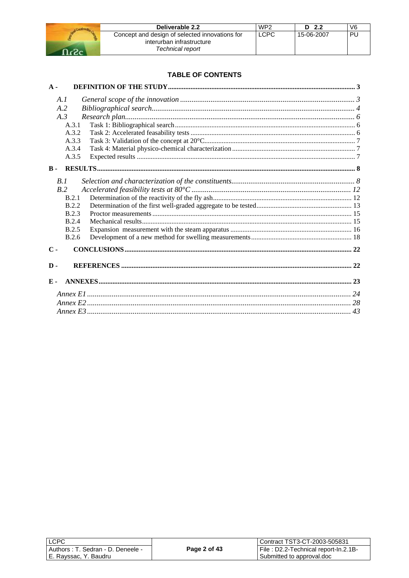

| Deliverable 2.2                                | WP <sub>2</sub> | D <sub>2.2</sub> | V <sub>6</sub> |
|------------------------------------------------|-----------------|------------------|----------------|
| Concept and design of selected innovations for | <b>LCPC</b>     | 15-06-2007       | <b>PU</b>      |
| interurban infrastructure                      |                 |                  |                |
| Technical report                               |                 |                  |                |

## **TABLE OF CONTENTS**

| $A -$         |              |  |
|---------------|--------------|--|
| A.1           |              |  |
| A.2           |              |  |
| A.3           |              |  |
|               | A.3.1        |  |
|               | A.3.2        |  |
|               | A.3.3        |  |
|               | A.3.4        |  |
|               | A.3.5        |  |
| $B -$         |              |  |
|               |              |  |
| R.1           |              |  |
| R.2           |              |  |
|               | B.2.1        |  |
|               | <b>B.2.2</b> |  |
|               | <b>B.2.3</b> |  |
|               | <b>B.2.4</b> |  |
|               | <b>B.2.5</b> |  |
|               | B.2.6        |  |
| $C -$         |              |  |
| $\mathbf D$ . |              |  |
|               |              |  |
| $E -$         |              |  |
|               |              |  |
|               |              |  |
|               |              |  |

| <b>LCPC</b>                       |              | Contract TST3-CT-2003-505831         |
|-----------------------------------|--------------|--------------------------------------|
| Authors: T. Sedran - D. Deneele - | Page 2 of 43 | File: D2.2-Technical report-In.2.1B- |
| E. Rayssac, Y. Baudru             |              | Submitted to approval.doc            |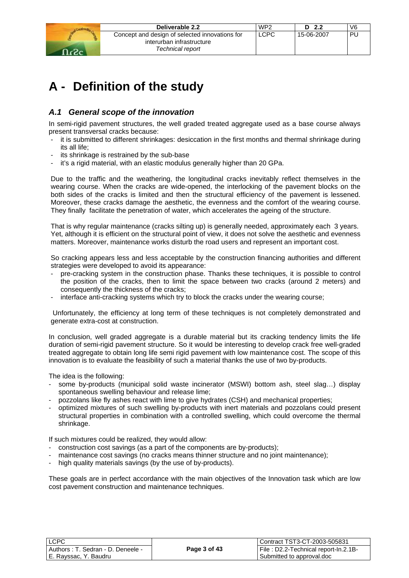|        | Deliverable 2.2                                                                                 | WP <sub>2</sub> | D <sub>2.2</sub> | V <sub>6</sub> |
|--------|-------------------------------------------------------------------------------------------------|-----------------|------------------|----------------|
| - כ- ב | Concept and design of selected innovations for<br>interurban infrastructure<br>Technical report | ∟CPC            | 15-06-2007       | PL             |
|        |                                                                                                 |                 |                  |                |

## **A - Definition of the study**

## *A.1 General scope of the innovation*

In semi-rigid pavement structures, the well graded treated aggregate used as a base course always present transversal cracks because:

- it is submitted to different shrinkages: desiccation in the first months and thermal shrinkage during its all life;
- its shrinkage is restrained by the sub-base
- it's a rigid material, with an elastic modulus generally higher than 20 GPa.

Due to the traffic and the weathering, the longitudinal cracks inevitably reflect themselves in the wearing course. When the cracks are wide-opened, the interlocking of the pavement blocks on the both sides of the cracks is limited and then the structural efficiency of the pavement is lessened. Moreover, these cracks damage the aesthetic, the evenness and the comfort of the wearing course. They finally facilitate the penetration of water, which accelerates the ageing of the structure.

That is why regular maintenance (cracks silting up) is generally needed, approximately each 3 years. Yet, although it is efficient on the structural point of view, it does not solve the aesthetic and evenness matters. Moreover, maintenance works disturb the road users and represent an important cost.

So cracking appears less and less acceptable by the construction financing authorities and different strategies were developed to avoid its appearance:

- pre-cracking system in the construction phase. Thanks these techniques, it is possible to control the position of the cracks, then to limit the space between two cracks (around 2 meters) and consequently the thickness of the cracks;
- interface anti-cracking systems which try to block the cracks under the wearing course;

 Unfortunately, the efficiency at long term of these techniques is not completely demonstrated and generate extra-cost at construction.

In conclusion, well graded aggregate is a durable material but its cracking tendency limits the life duration of semi-rigid pavement structure. So it would be interesting to develop crack free well-graded treated aggregate to obtain long life semi rigid pavement with low maintenance cost. The scope of this innovation is to evaluate the feasibility of such a material thanks the use of two by-products.

The idea is the following:

- some by-products (municipal solid waste incinerator (MSWI) bottom ash, steel slag...) display spontaneous swelling behaviour and release lime;
- pozzolans like fly ashes react with lime to give hydrates (CSH) and mechanical properties;
- optimized mixtures of such swelling by-products with inert materials and pozzolans could present structural properties in combination with a controlled swelling, which could overcome the thermal shrinkage.

If such mixtures could be realized, they would allow:

- construction cost savings (as a part of the components are by-products);
- maintenance cost savings (no cracks means thinner structure and no joint maintenance);
- high quality materials savings (by the use of by-products).

These goals are in perfect accordance with the main objectives of the Innovation task which are low cost pavement construction and maintenance techniques.

| LLCPC.                            |  |
|-----------------------------------|--|
| Authors: T. Sedran - D. Deneele - |  |
| E. Rayssac, Y. Baudru             |  |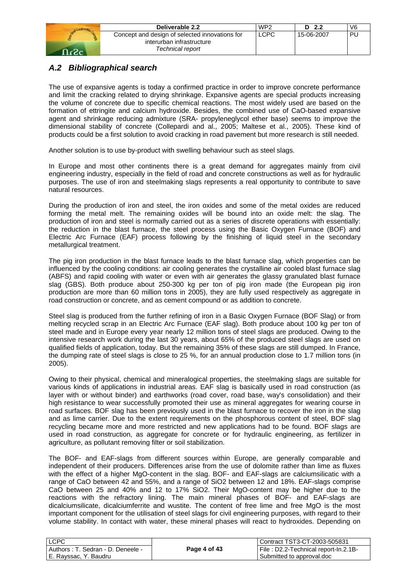| Deliverable 2.2                                                             | WP <sub>2</sub> | 2.2<br>D   | V6 |
|-----------------------------------------------------------------------------|-----------------|------------|----|
| Concept and design of selected innovations for<br>interurban infrastructure | LCPC            | 15-06-2007 | ΡI |
| Technical report                                                            |                 |            |    |

## *A.2 Bibliographical search*

The use of expansive agents is today a confirmed practice in order to improve concrete performance and limit the cracking related to drying shrinkage. Expansive agents are special products increasing the volume of concrete due to specific chemical reactions. The most widely used are based on the formation of ettringite and calcium hydroxide. Besides, the combined use of CaO-based expansive agent and shrinkage reducing admixture (SRA- propyleneglycol ether base) seems to improve the dimensional stability of concrete (Collepardi and al., 2005; Maltese et al., 2005). These kind of products could be a first solution to avoid cracking in road pavement but more research is still needed.

Another solution is to use by-product with swelling behaviour such as steel slags.

In Europe and most other continents there is a great demand for aggregates mainly from civil engineering industry, especially in the field of road and concrete constructions as well as for hydraulic purposes. The use of iron and steelmaking slags represents a real opportunity to contribute to save natural resources.

During the production of iron and steel, the iron oxides and some of the metal oxides are reduced forming the metal melt. The remaining oxides will be bound into an oxide melt: the slag. The production of iron and steel is normally carried out as a series of discrete operations with essentially: the reduction in the blast furnace, the steel process using the Basic Oxygen Furnace (BOF) and Electric Arc Furnace (EAF) process following by the finishing of liquid steel in the secondary metallurgical treatment.

The pig iron production in the blast furnace leads to the blast furnace slag, which properties can be influenced by the cooling conditions: air cooling generates the crystalline air cooled blast furnace slag (ABFS) and rapid cooling with water or even with air generates the glassy granulated blast furnace slag (GBS). Both produce about 250-300 kg per ton of pig iron made (the European pig iron production are more than 60 million tons in 2005), they are fully used respectively as aggregate in road construction or concrete, and as cement compound or as addition to concrete.

Steel slag is produced from the further refining of iron in a Basic Oxygen Furnace (BOF Slag) or from melting recycled scrap in an Electric Arc Furnace (EAF slag). Both produce about 100 kg per ton of steel made and in Europe every year nearly 12 million tons of steel slags are produced. Owing to the intensive research work during the last 30 years, about 65% of the produced steel slags are used on qualified fields of application, today. But the remaining 35% of these slags are still dumped. In France, the dumping rate of steel slags is close to 25 %, for an annual production close to 1.7 million tons (in 2005).

Owing to their physical, chemical and mineralogical properties, the steelmaking slags are suitable for various kinds of applications in industrial areas. EAF slag is basically used in road construction (as layer with or without binder) and earthworks (road cover, road base, way's consolidation) and their high resistance to wear successfully promoted their use as mineral aggregates for wearing course in road surfaces. BOF slag has been previously used in the blast furnace to recover the iron in the slag and as lime carrier. Due to the extent requirements on the phosphorous content of steel, BOF slag recycling became more and more restricted and new applications had to be found. BOF slags are used in road construction, as aggregate for concrete or for hydraulic engineering, as fertilizer in agriculture, as pollutant removing filter or soil stabilization.

The BOF- and EAF-slags from different sources within Europe, are generally comparable and independent of their producers. Differences arise from the use of dolomite rather than lime as fluxes with the effect of a higher MgO-content in the slag. BOF- and EAF-slags are calciumsilicatic with a range of CaO between 42 and 55%, and a range of SiO2 between 12 and 18%. EAF-slags comprise CaO between 25 and 40% and 12 to 17% SiO2. Their MgO-content may be higher due to the reactions with the refractory lining. The main mineral phases of BOF- and EAF-slags are dicalciumsilicate, dicalciumferrite and wustite. The content of free lime and free MgO is the most important component for the utilisation of steel slags for civil engineering purposes, with regard to their volume stability. In contact with water, these mineral phases will react to hydroxides. Depending on

| I LCPC                               |              | Contract TST3-CT-2003-505831         |
|--------------------------------------|--------------|--------------------------------------|
| l Authors : T. Sedran - D. Deneele - | Page 4 of 43 | File: D2.2-Technical report-In.2.1B- |
| E. Rayssac, Y. Baudru                |              | Submitted to approval.doc            |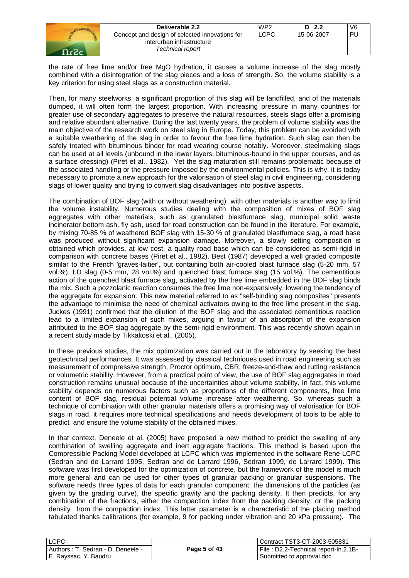| Deliverable 2.2                                                                                 | WP <sub>2</sub> | - 2.2      | V6 |
|-------------------------------------------------------------------------------------------------|-----------------|------------|----|
| Concept and design of selected innovations for<br>interurban infrastructure<br>Technical report | LCPC            | 15-06-2007 | PU |

the rate of free lime and/or free MgO hydration, it causes a volume increase of the slag mostly combined with a disintegration of the slag pieces and a loss of strength. So, the volume stability is a key criterion for using steel slags as a construction material.

Then, for many steelworks, a significant proportion of this slag will be landfilled, and of the materials dumped, it will often form the largest proportion. With increasing pressure in many countries for greater use of secondary aggregates to preserve the natural resources, steels slags offer a promising and relative abundant alternative. During the last twenty years, the problem of volume stability was the main objective of the research work on steel slag in Europe. Today, this problem can be avoided with a suitable weathering of the slag in order to favour the free lime hydration. Such slag can then be safely treated with bituminous binder for road wearing course notably. Moreover, steelmaking slags can be used at all levels (unbound in the lower layers, bituminous-bound in the upper courses, and as a surface dressing) (Piret et al., 1982). Yet the slag maturation still remains problematic because of the associated handling or the pressure imposed by the environmental policies. This is why, it is today necessary to promote a new approach for the valorisation of steel slag in civil engineering, considering slags of lower quality and trying to convert slag disadvantages into positive aspects.

The combination of BOF slag (with or without weathering) with other materials is another way to limit the volume instability. Numerous studies dealing with the composition of mixes of BOF slag aggregates with other materials, such as granulated blastfurnace slag, municipal solid waste incinerator bottom ash, fly ash, used for road construction can be found in the literature. For example, by mixing 70-85 % of weathered BOF slag with 15-30 % of granulated blastfurnace slag, a road base was produced without significant expansion damage. Moreover, a slowly setting composition is obtained which provides, at low cost, a quality road base which can be considered as semi-rigid in comparison with concrete bases (Piret et al., 1982). Best (1987) developed a well graded composite similar to the French 'graves-laitier', but containing both air-cooled blast furnace slag (5-20 mm, 57 vol.%), LD slag (0-5 mm, 28 vol.%) and quenched blast furnace slag (15 vol.%). The cementitious action of the quenched blast furnace slag, activated by the free lime embedded in the BOF slag binds the mix. Such a pozzolanic reaction consumes the free lime non-expansively, lowering the tendency of the aggregate for expansion. This new material referred to as "self-binding slag composites" presents the advantage to minimise the need of chemical activators owing to the free lime present in the slag. Juckes (1991) confirmed that the dilution of the BOF slag and the associated cementitious reaction lead to a limited expansion of such mixes, arguing in favour of an absorption of the expansion attributed to the BOF slag aggregate by the semi-rigid environment. This was recently shown again in a recent study made by Tikkakoski et al., (2005).

In these previous studies, the mix optimization was carried out in the laboratory by seeking the best geotechnical performances. It was assessed by classical techniques used in road engineering such as measurement of compressive strength, Proctor optimum, CBR, freeze-and-thaw and rutting resistance or volumetric stability. However, from a practical point of view, the use of BOF slag aggregates in road construction remains unusual because of the uncertainties about volume stability. In fact, this volume stability depends on numerous factors such as proportions of the different components, free lime content of BOF slag, residual potential volume increase after weathering. So, whereas such a technique of combination with other granular materials offers a promising way of valorisation for BOF slags in road, it requires more technical specifications and needs development of tools to be able to predict and ensure the volume stability of the obtained mixes.

In that context, Deneele et al. (2005) have proposed a new method to predict the swelling of any combination of swelling aggregate and inert aggregate fractions. This method is based upon the Compressible Packing Model developed at LCPC which was implemented in the software René-LCPC (Sedran and de Larrard 1995, Sedran and de Larrard 1996, Sedran 1999, de Larrard 1999). This software was first developed for the optimization of concrete, but the framework of the model is much more general and can be used for other types of granular packing or granular suspensions. The software needs three types of data for each granular component: the dimensions of the particles (as given by the grading curve), the specific gravity and the packing density. It then predicts, for any combination of the fractions, either the compaction index from the packing density, or the packing density from the compaction index. This latter parameter is a characteristic of the placing method tabulated thanks calibrations (for example, 9 for packing under vibration and 20 kPa pressure). The

| <b>LCPC</b>                          |              | Contract TST3-CT-2003-505831         |
|--------------------------------------|--------------|--------------------------------------|
| l Authors : T. Sedran - D. Deneele - | Page 5 of 43 | File: D2.2-Technical report-In.2.1B- |
| E. Rayssac, Y. Baudru                |              | Submitted to approval.doc            |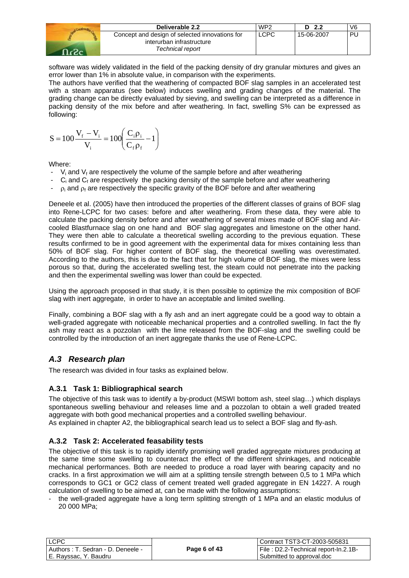| Deliverable 2.2                                                                                 | WP <sub>2</sub> | -2.2<br>D. | V <sub>6</sub> |
|-------------------------------------------------------------------------------------------------|-----------------|------------|----------------|
| Concept and design of selected innovations for<br>interurban infrastructure<br>Technical report | <b>LCPC</b>     | 15-06-2007 | ÞΙ             |

software was widely validated in the field of the packing density of dry granular mixtures and gives an error lower than 1% in absolute value, in comparison with the experiments.

The authors have verified that the weathering of compacted BOF slag samples in an accelerated test with a steam apparatus (see below) induces swelling and grading changes of the material. The grading change can be directly evaluated by sieving, and swelling can be interpreted as a difference in packing density of the mix before and after weathering. In fact, swelling S% can be expressed as following:

$$
S = 100 \frac{V_{f} - V_{i}}{V_{i}} = 100 \left( \frac{C_{i} \rho_{i}}{C_{f} \rho_{f}} - 1 \right)
$$

Where:

- $V_i$  and  $V_f$  are respectively the volume of the sample before and after weathering
- $-$  C<sub>i</sub> and C<sub>f</sub> are respectively the packing density of the sample before and after weathering
- $\rho_i$  and  $\rho_f$  are respectively the specific gravity of the BOF before and after weathering

Deneele et al. (2005) have then introduced the properties of the different classes of grains of BOF slag into Rene-LCPC for two cases: before and after weathering. From these data, they were able to calculate the packing density before and after weathering of several mixes made of BOF slag and Aircooled Blastfurnace slag on one hand and BOF slag aggregates and limestone on the other hand. They were then able to calculate a theoretical swelling according to the previous equation. These results confirmed to be in good agreement with the experimental data for mixes containing less than 50% of BOF slag. For higher content of BOF slag, the theoretical swelling was overestimated. According to the authors, this is due to the fact that for high volume of BOF slag, the mixes were less porous so that, during the accelerated swelling test, the steam could not penetrate into the packing and then the experimental swelling was lower than could be expected.

Using the approach proposed in that study, it is then possible to optimize the mix composition of BOF slag with inert aggregate, in order to have an acceptable and limited swelling.

Finally, combining a BOF slag with a fly ash and an inert aggregate could be a good way to obtain a well-graded aggregate with noticeable mechanical properties and a controlled swelling. In fact the fly ash may react as a pozzolan with the lime released from the BOF-slag and the swelling could be controlled by the introduction of an inert aggregate thanks the use of Rene-LCPC.

## *A.3 Research plan*

The research was divided in four tasks as explained below.

## **A.3.1 Task 1: Bibliographical search**

The objective of this task was to identify a by-product (MSWI bottom ash, steel slag…) which displays spontaneous swelling behaviour and releases lime and a pozzolan to obtain a well graded treated aggregate with both good mechanical properties and a controlled swelling behaviour.

As explained in chapter A2, the bibliographical search lead us to select a BOF slag and fly-ash.

## **A.3.2 Task 2: Accelerated feasability tests**

The objective of this task is to rapidly identify promising well graded aggregate mixtures producing at the same time some swelling to counteract the effect of the different shrinkages, and noticeable mechanical performances. Both are needed to produce a road layer with bearing capacity and no cracks. In a first approximation we will aim at a splitting tensile strength between 0,5 to 1 MPa which corresponds to GC1 or GC2 class of cement treated well graded aggregate in EN 14227. A rough calculation of swelling to be aimed at, can be made with the following assumptions:

the well-graded aggregate have a long term splitting strength of 1 MPa and an elastic modulus of 20 000 MPa;

| <b>LCPC</b>                          |              | l Contract TST3-CT-2003-505831        |
|--------------------------------------|--------------|---------------------------------------|
| I Authors : T. Sedran - D. Deneele - | Page 6 of 43 | File : D2.2-Technical report-In.2.1B- |
| l E. Ravssac. Y. Baudru              |              | Submitted to approval.doc             |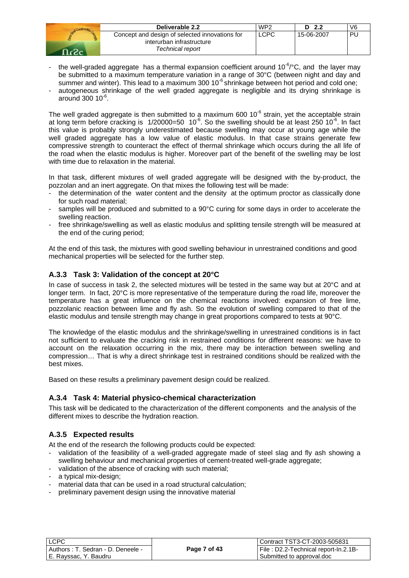| Deliverable 2.2                                                                                 | WP <sub>2</sub> | 2.2<br>D   | V <sub>6</sub> |
|-------------------------------------------------------------------------------------------------|-----------------|------------|----------------|
| Concept and design of selected innovations for<br>interurban infrastructure<br>Technical report | <b>LCPC</b>     | 15-06-2007 | PU             |

- the well-graded aggregate has a thermal expansion coefficient around  $10^{-6}$  °C, and the layer may be submitted to a maximum temperature variation in a range of 30°C (between night and day and summer and winter). This lead to a maximum 300  $10^{-6}$  shrinkage between hot period and cold one;
- autogeneous shrinkage of the well graded aggregate is negligible and its drying shrinkage is around 300 10-6.

The well graded aggregate is then submitted to a maximum 600  $10^{-6}$  strain, yet the acceptable strain at long term before cracking is  $1/20000=50$  10<sup>-6</sup>. So the swelling should be at least 250 10<sup>-6</sup>. In fact this value is probably strongly underestimated because swelling may occur at young age while the well graded aggregate has a low value of elastic modulus. In that case strains generate few compressive strength to counteract the effect of thermal shrinkage which occurs during the all life of the road when the elastic modulus is higher. Moreover part of the benefit of the swelling may be lost with time due to relaxation in the material.

In that task, different mixtures of well graded aggregate will be designed with the by-product, the pozzolan and an inert aggregate. On that mixes the following test will be made:

- the determination of the water content and the density at the optimum proctor as classically done for such road material;
- samples will be produced and submitted to a 90°C curing for some days in order to accelerate the swelling reaction.
- free shrinkage/swelling as well as elastic modulus and splitting tensile strength will be measured at the end of the curing period;

At the end of this task, the mixtures with good swelling behaviour in unrestrained conditions and good mechanical properties will be selected for the further step.

## **A.3.3 Task 3: Validation of the concept at 20°C**

In case of success in task 2, the selected mixtures will be tested in the same way but at 20°C and at longer term. In fact, 20°C is more representative of the temperature during the road life, moreover the temperature has a great influence on the chemical reactions involved: expansion of free lime, pozzolanic reaction between lime and fly ash. So the evolution of swelling compared to that of the elastic modulus and tensile strength may change in great proportions compared to tests at 90°C.

The knowledge of the elastic modulus and the shrinkage/swelling in unrestrained conditions is in fact not sufficient to evaluate the cracking risk in restrained conditions for different reasons: we have to account on the relaxation occurring in the mix, there may be interaction between swelling and compression… That is why a direct shrinkage test in restrained conditions should be realized with the best mixes.

Based on these results a preliminary pavement design could be realized.

#### **A.3.4 Task 4: Material physico-chemical characterization**

This task will be dedicated to the characterization of the different components and the analysis of the different mixes to describe the hydration reaction.

## **A.3.5 Expected results**

At the end of the research the following products could be expected:

- validation of the feasibility of a well-graded aggregate made of steel slag and fly ash showing a swelling behaviour and mechanical properties of cement-treated well-grade aggregate;
- validation of the absence of cracking with such material;
- a typical mix-design;
- material data that can be used in a road structural calculation;
- preliminary pavement design using the innovative material

| <b>ILCPC</b>                         |              | Contract TST3-CT-2003-505831         |
|--------------------------------------|--------------|--------------------------------------|
| l Authors : T. Sedran - D. Deneele - | Page 7 of 43 | File: D2.2-Technical report-In.2.1B- |
| I E. Ravssac. Y. Baudru              |              | Submitted to approval.doc            |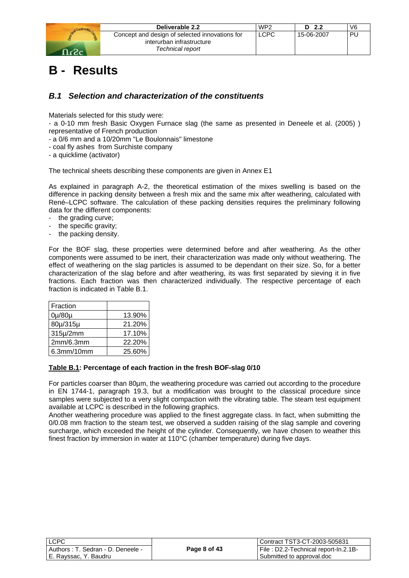| 8<br>٥ |  |
|--------|--|

| Deliverable 2.2                                | WP <sub>2</sub> | - 2.2<br>D | V6 |
|------------------------------------------------|-----------------|------------|----|
| Concept and design of selected innovations for | <b>LCPC</b>     | 15-06-2007 | PU |
| interurban infrastructure                      |                 |            |    |
| Technical report                               |                 |            |    |

# **B - Results**

## *B.1 Selection and characterization of the constituents*

Materials selected for this study were:

- a 0-10 mm fresh Basic Oxygen Furnace slag (the same as presented in Deneele et al. (2005) ) representative of French production

- a 0/6 mm and a 10/20mm "Le Boulonnais" limestone

- coal fly ashes from Surchiste company

- a quicklime (activator)

The technical sheets describing these components are given in Annex E1

As explained in paragraph A-2, the theoretical estimation of the mixes swelling is based on the difference in packing density between a fresh mix and the same mix after weathering, calculated with René–LCPC software. The calculation of these packing densities requires the preliminary following data for the different components:

- the grading curve;
- the specific gravity;
- the packing density.

For the BOF slag, these properties were determined before and after weathering. As the other components were assumed to be inert, their characterization was made only without weathering. The effect of weathering on the slag particles is assumed to be dependant on their size. So, for a better characterization of the slag before and after weathering, its was first separated by sieving it in five fractions. Each fraction was then characterized individually. The respective percentage of each fraction is indicated in Table B.1.

| Fraction   |        |
|------------|--------|
| 0µ/80µ     | 13.90% |
| 80µ/315µ   | 21.20% |
| 315µ/2mm   | 17.10% |
| 2mm/6.3mm  | 22.20% |
| 6.3mm/10mm | 25.60% |

#### **Table B.1: Percentage of each fraction in the fresh BOF-slag 0/10**

For particles coarser than 80µm, the weathering procedure was carried out according to the procedure in EN 1744-1, paragraph 19.3, but a modification was brought to the classical procedure since samples were subjected to a very slight compaction with the vibrating table. The steam test equipment available at LCPC is described in the following graphics.

Another weathering procedure was applied to the finest aggregate class. In fact, when submitting the 0/0.08 mm fraction to the steam test, we observed a sudden raising of the slag sample and covering surcharge, which exceeded the height of the cylinder. Consequently, we have chosen to weather this finest fraction by immersion in water at 110°C (chamber temperature) during five days.

| LCPC                               |              | Contract TST3-CT-2003-505831         |
|------------------------------------|--------------|--------------------------------------|
| Authors : T. Sedran - D. Deneele - | Page 8 of 43 | File: D2.2-Technical report-In.2.1B- |
| E. Rayssac, Y. Baudru              |              | Submitted to approval.doc            |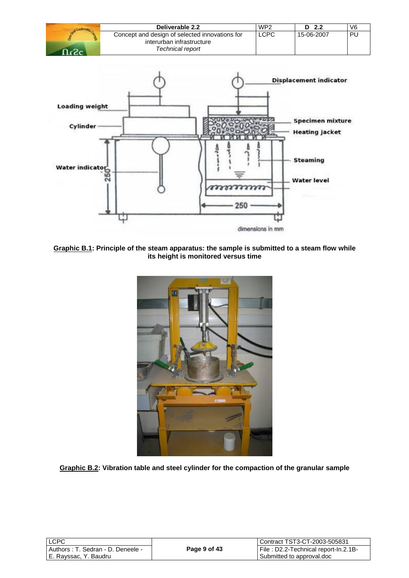| Deliverable 2.2                                                                                 | WP <sub>2</sub> | - 2.2      | V6 |
|-------------------------------------------------------------------------------------------------|-----------------|------------|----|
| Concept and design of selected innovations for<br>interurban infrastructure<br>Technical report | LCPC            | 15-06-2007 | PU |



**Graphic B.1: Principle of the steam apparatus: the sample is submitted to a steam flow while its height is monitored versus time** 



**Graphic B.2: Vibration table and steel cylinder for the compaction of the granular sample** 

| <b>LCPC</b> |                                    |
|-------------|------------------------------------|
|             | Authors : T. Sedran - D. Deneele - |
|             | E. Rayssac, Y. Baudru              |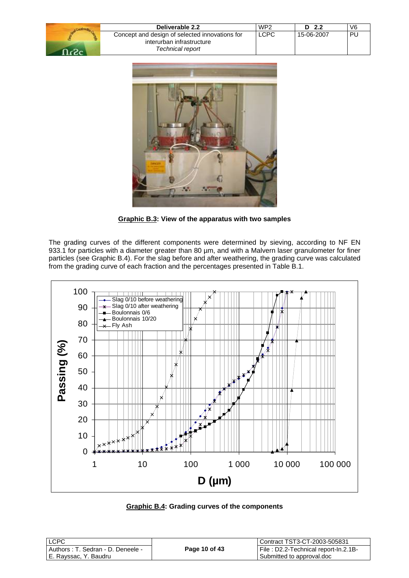| Deliverable 2.2                                | WP <sub>2</sub> | D $2.2$    | V6 |
|------------------------------------------------|-----------------|------------|----|
| Concept and design of selected innovations for | <b>LCPC</b>     | 15-06-2007 | PL |
| interurban infrastructure                      |                 |            |    |
| Technical report                               |                 |            |    |



**Graphic B.3: View of the apparatus with two samples** 

The grading curves of the different components were determined by sieving, according to NF EN 933.1 for particles with a diameter greater than 80 µm, and with a Malvern laser granulometer for finer particles (see Graphic B.4). For the slag before and after weathering, the grading curve was calculated from the grading curve of each fraction and the percentages presented in Table B.1.



**Graphic B.4: Grading curves of the components** 

| l LCPC                               |               | Contract TST3-CT-2003-505831         |
|--------------------------------------|---------------|--------------------------------------|
| l Authors : T. Sedran - D. Deneele - | Page 10 of 43 | File: D2.2-Technical report-In.2.1B- |
| l E. Ravssac. Y. Baudru              |               | Submitted to approval.doc            |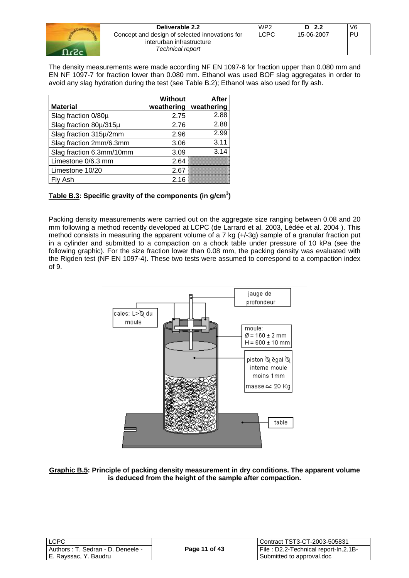| Deliverable 2.2                                                                                 | WP <sub>2</sub> | - 2.2<br>D. |     |
|-------------------------------------------------------------------------------------------------|-----------------|-------------|-----|
| Concept and design of selected innovations for<br>interurban infrastructure<br>Technical report | <b>LCPC</b>     | 15-06-2007  | DH. |

The density measurements were made according NF EN 1097-6 for fraction upper than 0.080 mm and EN NF 1097-7 for fraction lower than 0.080 mm. Ethanol was used BOF slag aggregates in order to avoid any slag hydration during the test (see Table B.2); Ethanol was also used for fly ash.

|                          | <b>Without</b> | After      |
|--------------------------|----------------|------------|
| <b>Material</b>          | weathering     | weathering |
| Slag fraction 0/80µ      | 2.75           | 2.88       |
| Slag fraction 80µ/315µ   | 2.76           | 2.88       |
| Slag fraction 315µ/2mm   | 2.96           | 2.99       |
| Slag fraction 2mm/6.3mm  | 3.06           | 3.11       |
| Slag fraction 6.3mm/10mm | 3.09           | 3.14       |
| Limestone 0/6.3 mm       | 2.64           |            |
| Limestone 10/20          | 2.67           |            |
| Fly Ash                  | 2.16           |            |

## Table B.3: Specific gravity of the components (in g/cm<sup>3</sup>)

Packing density measurements were carried out on the aggregate size ranging between 0.08 and 20 mm following a method recently developed at LCPC (de Larrard et al. 2003, Lédée et al. 2004 ). This method consists in measuring the apparent volume of a 7 kg (+/-3g) sample of a granular fraction put in a cylinder and submitted to a compaction on a chock table under pressure of 10 kPa (see the following graphic). For the size fraction lower than 0.08 mm, the packing density was evaluated with the Rigden test (NF EN 1097-4). These two tests were assumed to correspond to a compaction index of 9.



**Graphic B.5: Principle of packing density measurement in dry conditions. The apparent volume is deduced from the height of the sample after compaction.** 

| <b>ILCPC</b>                         |               | Contract TST3-CT-2003-505831         |
|--------------------------------------|---------------|--------------------------------------|
| l Authors : T. Sedran - D. Deneele - | Page 11 of 43 | File: D2.2-Technical report-In.2.1B- |
| l E. Ravssac. Y. Baudru              |               | Submitted to approval.doc            |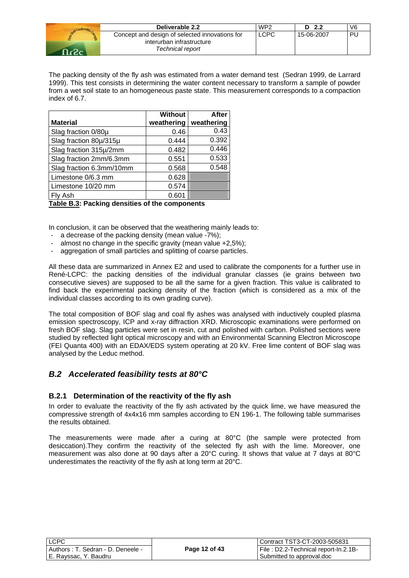|       | Deliverable 2.2                                | WP <sub>2</sub> | D <sub>2.2</sub> | V <sub>6</sub> |
|-------|------------------------------------------------|-----------------|------------------|----------------|
|       | Concept and design of selected innovations for | LCPC            | 15-06-2007       | <b>PL</b>      |
|       | interurban infrastructure                      |                 |                  |                |
| ⊸כ∠ ב | Technical report                               |                 |                  |                |

The packing density of the fly ash was estimated from a water demand test (Sedran 1999, de Larrard 1999). This test consists in determining the water content necessary to transform a sample of powder from a wet soil state to an homogeneous paste state. This measurement corresponds to a compaction index of 6.7.

|                          | <b>Without</b> | After      |
|--------------------------|----------------|------------|
| <b>Material</b>          | weathering     | weathering |
| Slag fraction 0/80µ      | 0.46           | 0.43       |
| Slag fraction 80µ/315µ   | 0.444          | 0.392      |
| Slag fraction 315µ/2mm   | 0.482          | 0.446      |
| Slag fraction 2mm/6.3mm  | 0.551          | 0.533      |
| Slag fraction 6.3mm/10mm | 0.568          | 0.548      |
| Limestone 0/6.3 mm       | 0.628          |            |
| Limestone 10/20 mm       | 0.574          |            |
| Fly Ash                  | 0.601          |            |

**Table B.3: Packing densities of the components** 

In conclusion, it can be observed that the weathering mainly leads to:

- a decrease of the packing density (mean value -7%);
- almost no change in the specific gravity (mean value  $+2,5\%$ );
- aggregation of small particles and splitting of coarse particles.

All these data are summarized in Annex E2 and used to calibrate the components for a further use in René-LCPC: the packing densities of the individual granular classes (ie grains between two consecutive sieves) are supposed to be all the same for a given fraction. This value is calibrated to find back the experimental packing density of the fraction (which is considered as a mix of the individual classes according to its own grading curve).

The total composition of BOF slag and coal fly ashes was analysed with inductively coupled plasma emission spectroscopy, ICP and x-ray diffraction XRD. Microscopic examinations were performed on fresh BOF slag. Slag particles were set in resin, cut and polished with carbon. Polished sections were studied by reflected light optical microscopy and with an Environmental Scanning Electron Microscope (FEI Quanta 400) with an EDAX/EDS system operating at 20 kV. Free lime content of BOF slag was analysed by the Leduc method.

## *B.2 Accelerated feasibility tests at 80°C*

#### **B.2.1 Determination of the reactivity of the fly ash**

In order to evaluate the reactivity of the fly ash activated by the quick lime, we have measured the compressive strength of 4x4x16 mm samples according to EN 196-1. The following table summarises the results obtained.

The measurements were made after a curing at 80°C (the sample were protected from desiccation).They confirm the reactivity of the selected fly ash with the lime. Moreover, one measurement was also done at 90 days after a 20°C curing. It shows that value at 7 days at 80°C underestimates the reactivity of the fly ash at long term at 20°C.

| <b>LCPC</b>                        |
|------------------------------------|
| Authors : T. Sedran - D. Deneele - |
| E. Rayssac, Y. Baudru              |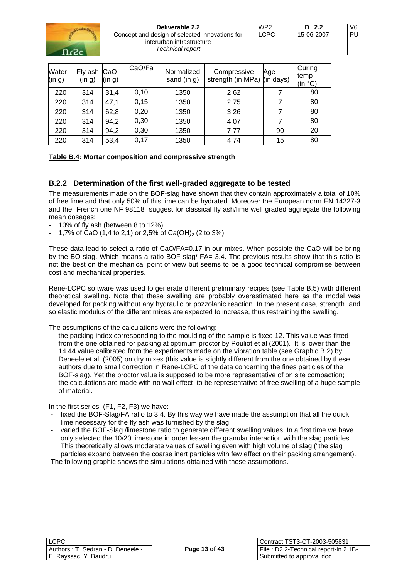| Deliverable 2.2                                                                                 | WP <sub>2</sub> | D 2.2      | V6 |
|-------------------------------------------------------------------------------------------------|-----------------|------------|----|
| Concept and design of selected innovations for<br>interurban infrastructure<br>Technical report | LCPC            | 15-06-2007 | РL |

| Water<br>(in g) | Fly ash CaO<br>(in g) | (in g) | CaO/Fa | Normalized<br>sand (in g) | Compressive<br>strength (in MPa) (in days) | Age | Curing<br>temp<br>(in °C) |
|-----------------|-----------------------|--------|--------|---------------------------|--------------------------------------------|-----|---------------------------|
| 220             | 314                   | 31,4   | 0,10   | 1350                      | 2,62                                       |     | 80                        |
| 220             | 314                   | 47,1   | 0,15   | 1350                      | 2,75                                       |     | 80                        |
| 220             | 314                   | 62,8   | 0,20   | 1350                      | 3,26                                       |     | 80                        |
| 220             | 314                   | 94,2   | 0,30   | 1350                      | 4,07                                       |     | 80                        |
| 220             | 314                   | 94,2   | 0,30   | 1350                      | 7,77                                       | 90  | 20                        |
| 220             | 314                   | 53,4   | 0,17   | 1350                      | 4,74                                       | 15  | 80                        |

### **Table B.4: Mortar composition and compressive strength**

## **B.2.2 Determination of the first well-graded aggregate to be tested**

The measurements made on the BOF-slag have shown that they contain approximately a total of 10% of free lime and that only 50% of this lime can be hydrated. Moreover the European norm EN 14227-3 and the French one NF 98118 suggest for classical fly ash/lime well graded aggregate the following mean dosages:

- 10% of fly ash (between 8 to 12%)
- 1,7% of CaO (1,4 to 2,1) or 2,5% of Ca(OH)<sub>2</sub> (2 to 3%)

These data lead to select a ratio of CaO/FA=0.17 in our mixes. When possible the CaO will be bring by the BO-slag. Which means a ratio BOF slag/ FA= 3.4. The previous results show that this ratio is not the best on the mechanical point of view but seems to be a good technical compromise between cost and mechanical properties.

René-LCPC software was used to generate different preliminary recipes (see Table B.5) with different theoretical swelling. Note that these swelling are probably overestimated here as the model was developed for packing without any hydraulic or pozzolanic reaction. In the present case, strength and so elastic modulus of the different mixes are expected to increase, thus restraining the swelling.

The assumptions of the calculations were the following:

- the packing index corresponding to the moulding of the sample is fixed 12. This value was fitted from the one obtained for packing at optimum proctor by Pouliot et al (2001). It is lower than the 14.44 value calibrated from the experiments made on the vibration table (see Graphic B.2) by Deneele et al. (2005) on dry mixes (this value is slightly different from the one obtained by these authors due to small correction in Rene-LCPC of the data concerning the fines particles of the BOF-slag). Yet the proctor value is supposed to be more representative of on site compaction;
- the calculations are made with no wall effect to be representative of free swelling of a huge sample of material.

In the first series (F1, F2, F3) we have:

- fixed the BOF-Slag/FA ratio to 3.4. By this way we have made the assumption that all the quick lime necessary for the fly ash was furnished by the slag;
- varied the BOF-Slag /limestone ratio to generate different swelling values. In a first time we have only selected the 10/20 limestone in order lessen the granular interaction with the slag particles. This theoretically allows moderate values of swelling even with high volume of slag ("the slag particles expand between the coarse inert particles with few effect on their packing arrangement). The following graphic shows the simulations obtained with these assumptions.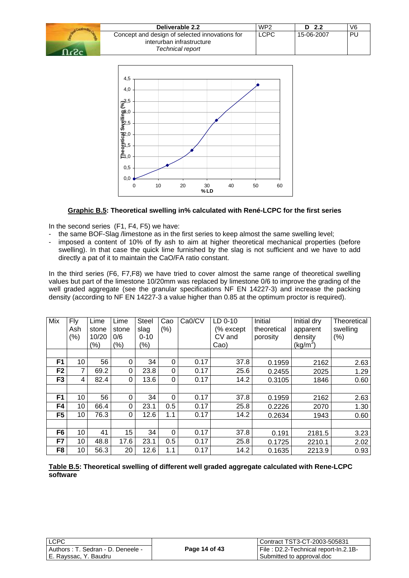| Deliverable 2.2                                                                                 | WP <sub>2</sub> | - 2.2<br>D | V <sub>6</sub> |  |
|-------------------------------------------------------------------------------------------------|-----------------|------------|----------------|--|
| Concept and design of selected innovations for<br>interurban infrastructure<br>Technical report | <b>LCPC</b>     | 15-06-2007 | PU             |  |



### **Graphic B.5: Theoretical swelling in% calculated with René-LCPC for the first series**

In the second series (F1, F4, F5) we have:

- the same BOF-Slag /limestone as in the first series to keep almost the same swelling level;
- imposed a content of 10% of fly ash to aim at higher theoretical mechanical properties (before swelling). In that case the quick lime furnished by the slag is not sufficient and we have to add directly a pat of it to maintain the CaO/FA ratio constant.

In the third series (F6, F7,F8) we have tried to cover almost the same range of theoretical swelling values but part of the limestone 10/20mm was replaced by limestone 0/6 to improve the grading of the well graded aggregate (see the granular specifications NF EN 14227-3) and increase the packing density (according to NF EN 14227-3 a value higher than 0.85 at the optimum proctor is required).

| Mix            | <b>Fly</b> | Lime  | Lime     | <b>Steel</b> | Cao            | Ca0/CV | LD 0-10   | Initial     | Initial dry | Theoretical |
|----------------|------------|-------|----------|--------------|----------------|--------|-----------|-------------|-------------|-------------|
|                | Ash        | stone | stone    | slag         | $(\%)$         |        | (% except | theoretical | apparent    | swelling    |
|                | (%)        | 10/20 | 0/6      | $0 - 10$     |                |        | CV and    | porosity    | density     | $(\% )$     |
|                |            | (%)   | $(\%)$   | $(\% )$      |                |        | Cao)      |             | $(kg/m^3)$  |             |
|                |            |       |          |              |                |        |           |             |             |             |
| F <sub>1</sub> | 10         | 56    | 0        | 34           | 0              | 0.17   | 37.8      | 0.1959      | 2162        | 2.63        |
| F <sub>2</sub> | 7          | 69.2  | $\Omega$ | 23.8         | 0              | 0.17   | 25.6      | 0.2455      | 2025        | 1.29        |
| F <sub>3</sub> | 4          | 82.4  | $\Omega$ | 13.6         | 0              | 0.17   | 14.2      | 0.3105      | 1846        | 0.60        |
|                |            |       |          |              |                |        |           |             |             |             |
| F <sub>1</sub> | 10         | 56    | $\Omega$ | 34           | $\overline{0}$ | 0.17   | 37.8      | 0.1959      | 2162        | 2.63        |
| F <sub>4</sub> | 10         | 66.4  | $\Omega$ | 23.1         | 0.5            | 0.17   | 25.8      | 0.2226      | 2070        | 1.30        |
| F <sub>5</sub> | 10         | 76.3  | 0        | 12.6         | 1.1            | 0.17   | 14.2      | 0.2634      | 1943        | 0.60        |
|                |            |       |          |              |                |        |           |             |             |             |
| F <sub>6</sub> | 10         | 41    | 15       | 34           | $\overline{0}$ | 0.17   | 37.8      | 0.191       | 2181.5      | 3.23        |
| F7             | 10         | 48.8  | 17.6     | 23.1         | 0.5            | 0.17   | 25.8      | 0.1725      | 2210.1      | 2.02        |
| F <sub>8</sub> | 10         | 56.3  | 20       | 12.6         | 1.1            | 0.17   | 14.2      | 0.1635      | 2213.9      | 0.93        |

**Table B.5: Theoretical swelling of different well graded aggregate calculated with Rene-LCPC software**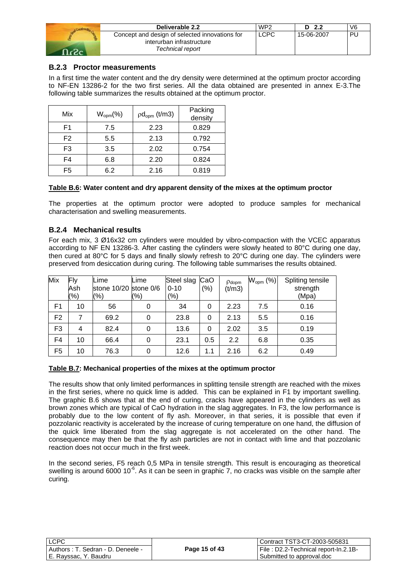| Deliverable 2.2                                                                                 | WP <sub>2</sub> | D <sub>2.2</sub> | V6        |
|-------------------------------------------------------------------------------------------------|-----------------|------------------|-----------|
| Concept and design of selected innovations for<br>interurban infrastructure<br>Technical report | <b>LCPC</b>     | 15-06-2007       | <b>PU</b> |

## **B.2.3 Proctor measurements**

In a first time the water content and the dry density were determined at the optimum proctor according to NF-EN 13286-2 for the two first series. All the data obtained are presented in annex E-3.The following table summarizes the results obtained at the optimum proctor.

| Mix            | $W_{\text{opm}}(\%)$ | $pd_{\text{opm}}(t/m3)$ | Packing<br>density |
|----------------|----------------------|-------------------------|--------------------|
| F1             | 7.5                  | 2.23                    | 0.829              |
| F <sub>2</sub> | 5.5                  | 2.13                    | 0.792              |
| F3             | 3.5                  | 2.02                    | 0.754              |
| F4             | 6.8                  | 2.20                    | 0.824              |
| F <sub>5</sub> | 6.2                  | 2.16                    | 0.819              |

#### **Table B.6: Water content and dry apparent density of the mixes at the optimum proctor**

The properties at the optimum proctor were adopted to produce samples for mechanical characterisation and swelling measurements.

### **B.2.4 Mechanical results**

For each mix, 3 Ø16x32 cm cylinders were moulded by vibro-compaction with the VCEC apparatus according to NF EN 13286-3. After casting the cylinders were slowly heated to 80°C during one day, then cured at 80°C for 5 days and finally slowly refresh to 20°C during one day. The cylinders were preserved from desiccation during curing. The following table summarises the results obtained.

| Mix            | Fly<br>Ash<br>(%) | Lime<br>stone 10/20 stone 0/6<br>(9/6) | Lime<br>(9/6) | Steel slag CaO<br>$0 - 10$<br>$(\% )$ | (% ) | $p_{\text{dopm}}$<br>(t/m3) | $W_{\text{opm}}$ (%) | Spliting tensile<br>strength<br>(Mpa) |
|----------------|-------------------|----------------------------------------|---------------|---------------------------------------|------|-----------------------------|----------------------|---------------------------------------|
| F1             | 10                | 56                                     | 0             | 34                                    | 0    | 2.23                        | 7.5                  | 0.16                                  |
| F <sub>2</sub> |                   | 69.2                                   | 0             | 23.8                                  | 0    | 2.13                        | 5.5                  | 0.16                                  |
| F <sub>3</sub> | 4                 | 82.4                                   | 0             | 13.6                                  | 0    | 2.02                        | 3.5                  | 0.19                                  |
| F <sub>4</sub> | 10                | 66.4                                   | 0             | 23.1                                  | 0.5  | 2.2                         | 6.8                  | 0.35                                  |
| F5             | 10                | 76.3                                   | 0             | 12.6                                  | 1.1  | 2.16                        | 6.2                  | 0.49                                  |

#### **Table B.7: Mechanical properties of the mixes at the optimum proctor**

The results show that only limited performances in splitting tensile strength are reached with the mixes in the first series, where no quick lime is added. This can be explained in F1 by important swelling. The graphic B.6 shows that at the end of curing, cracks have appeared in the cylinders as well as brown zones which are typical of CaO hydration in the slag aggregates. In F3, the low performance is probably due to the low content of fly ash. Moreover, in that series, it is possible that even if pozzolanic reactivity is accelerated by the increase of curing temperature on one hand, the diffusion of the quick lime liberated from the slag aggregate is not accelerated on the other hand. The consequence may then be that the fly ash particles are not in contact with lime and that pozzolanic reaction does not occur much in the first week.

In the second series, F5 reach 0,5 MPa in tensile strength. This result is encouraging as theoretical swelling is around 6000 10 $^6$ . As it can be seen in graphic 7, no cracks was visible on the sample after curing.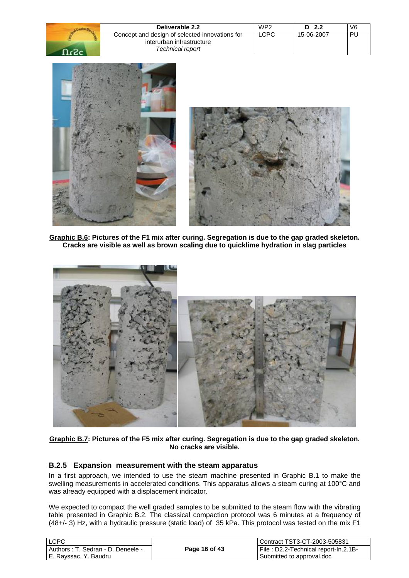| Deliverable 2.2                                                                                 | WP <sub>2</sub> | D <sub>2.2</sub> | V6        |
|-------------------------------------------------------------------------------------------------|-----------------|------------------|-----------|
| Concept and design of selected innovations for<br>interurban infrastructure<br>Technical report | <b>LCPC</b>     | 15-06-2007       | <b>PL</b> |
|                                                                                                 |                 |                  |           |





**Graphic B.6: Pictures of the F1 mix after curing. Segregation is due to the gap graded skeleton. Cracks are visible as well as brown scaling due to quicklime hydration in slag particles** 



**Graphic B.7: Pictures of the F5 mix after curing. Segregation is due to the gap graded skeleton. No cracks are visible.** 

## **B.2.5 Expansion measurement with the steam apparatus**

In a first approach, we intended to use the steam machine presented in Graphic B.1 to make the swelling measurements in accelerated conditions. This apparatus allows a steam curing at 100°C and was already equipped with a displacement indicator.

We expected to compact the well graded samples to be submitted to the steam flow with the vibrating table presented in Graphic B.2. The classical compaction protocol was 6 minutes at a frequency of (48+/- 3) Hz, with a hydraulic pressure (static load) of 35 kPa. This protocol was tested on the mix F1

| LCPC                              |               | l Contract TST3-CT-2003-505831       |
|-----------------------------------|---------------|--------------------------------------|
| Authors: T. Sedran - D. Deneele - | Page 16 of 43 | File: D2.2-Technical report-In.2.1B- |
| E. Rayssac, Y. Baudru             |               | Submitted to approval.doc            |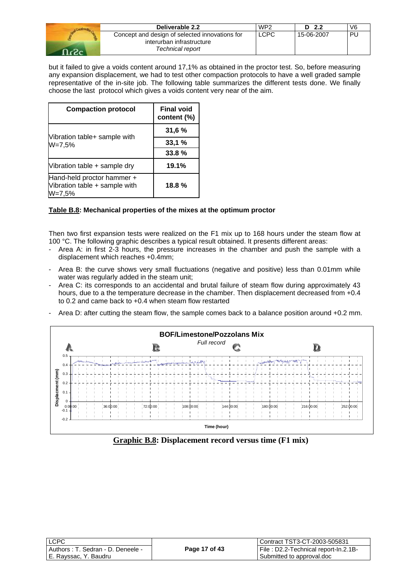| Deliverable 2.2                                                             | WP <sub>2</sub> | D 2.2      | V <sub>6</sub> |
|-----------------------------------------------------------------------------|-----------------|------------|----------------|
| Concept and design of selected innovations for<br>interurban infrastructure | LCPC            | 15-06-2007 | DI.            |
| Technical report                                                            |                 |            |                |

but it failed to give a voids content around 17,1% as obtained in the proctor test. So, before measuring any expansion displacement, we had to test other compaction protocols to have a well graded sample representative of the in-site job. The following table summarizes the different tests done. We finally choose the last protocol which gives a voids content very near of the aim.

| <b>Compaction protocol</b>                                            | <b>Final void</b><br>content (%) |
|-----------------------------------------------------------------------|----------------------------------|
|                                                                       | 31,6%                            |
| Vibration table+ sample with<br>$W = 7,5%$                            | 33,1%                            |
|                                                                       | 33.8%                            |
| Vibration table + sample dry                                          | 19.1%                            |
| Hand-held proctor hammer +<br>Vibration table + sample with<br>W=7,5% | 18.8%                            |

## **Table B.8: Mechanical properties of the mixes at the optimum proctor**

Then two first expansion tests were realized on the F1 mix up to 168 hours under the steam flow at 100 °C. The following graphic describes a typical result obtained. It presents different areas:

- Area A: in first 2-3 hours, the pressure increases in the chamber and push the sample with a displacement which reaches +0.4mm;
- Area B: the curve shows very small fluctuations (negative and positive) less than 0.01mm while water was regularly added in the steam unit;
- Area C: its corresponds to an accidental and brutal failure of steam flow during approximately 43 hours, due to a the temperature decrease in the chamber. Then displacement decreased from +0.4 to 0.2 and came back to +0.4 when steam flow restarted
- Area D: after cutting the steam flow, the sample comes back to a balance position around +0.2 mm.



**Graphic B.8: Displacement record versus time (F1 mix)** 

| LCPC                              |               | Contract TST3-CT-2003-505831         |
|-----------------------------------|---------------|--------------------------------------|
| Authors: T. Sedran - D. Deneele - | Page 17 of 43 | File: D2.2-Technical report-In.2.1B- |
| l E. Ravssac. Y. Baudru           |               | Submitted to approval.doc            |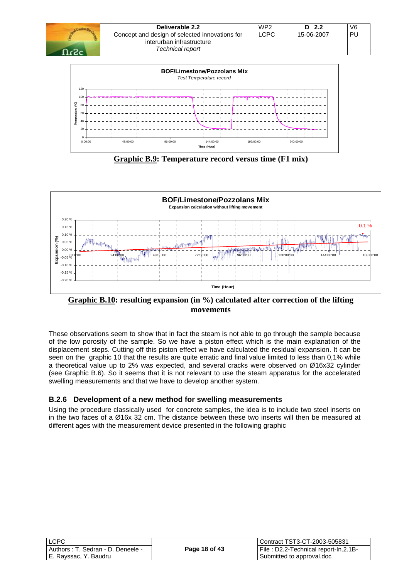

**Graphic B.9: Temperature record versus time (F1 mix)**

**Time (Hour)**



**Graphic B.10: resulting expansion (in %) calculated after correction of the lifting movements** 

These observations seem to show that in fact the steam is not able to go through the sample because of the low porosity of the sample. So we have a piston effect which is the main explanation of the displacement steps. Cutting off this piston effect we have calculated the residual expansion. It can be seen on the graphic 10 that the results are quite erratic and final value limited to less than 0,1% while a theoretical value up to 2% was expected, and several cracks were observed on Ø16x32 cylinder (see Graphic B.6). So it seems that it is not relevant to use the steam apparatus for the accelerated swelling measurements and that we have to develop another system.

## **B.2.6 Development of a new method for swelling measurements**

Using the procedure classically used for concrete samples, the idea is to include two steel inserts on in the two faces of a Ø16x 32 cm. The distance between these two inserts will then be measured at different ages with the measurement device presented in the following graphic

| LCPC                                 |               | Contract TST3-CT-2003-505831         |
|--------------------------------------|---------------|--------------------------------------|
| ' Authors : T. Sedran - D. Deneele - | Page 18 of 43 | File: D2.2-Technical report-In.2.1B- |
| E. Rayssac, Y. Baudru                |               | Submitted to approval.doc            |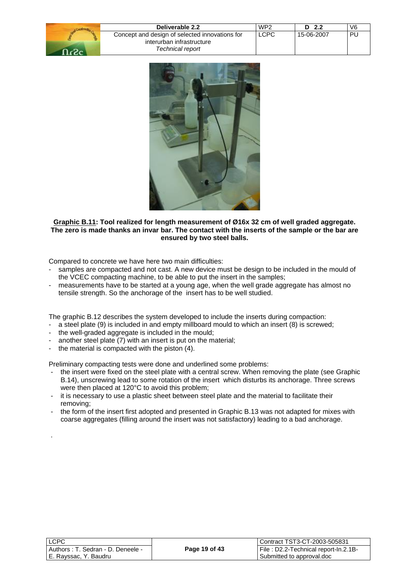| Deliverable 2.2                                                             | WP <sub>2</sub> | D 2.2      | V <sub>6</sub> |
|-----------------------------------------------------------------------------|-----------------|------------|----------------|
| Concept and design of selected innovations for<br>interurban infrastructure | <b>LCPC</b>     | 15-06-2007 | PL             |
| Technical report                                                            |                 |            |                |



#### **Graphic B.11: Tool realized for length measurement of Ø16x 32 cm of well graded aggregate. The zero is made thanks an invar bar. The contact with the inserts of the sample or the bar are ensured by two steel balls.**

Compared to concrete we have here two main difficulties:

- samples are compacted and not cast. A new device must be design to be included in the mould of the VCEC compacting machine, to be able to put the insert in the samples;
- measurements have to be started at a young age, when the well grade aggregate has almost no tensile strength. So the anchorage of the insert has to be well studied.

The graphic B.12 describes the system developed to include the inserts during compaction:

- a steel plate (9) is included in and empty millboard mould to which an insert (8) is screwed;
- the well-graded aggregate is included in the mould;
- another steel plate (7) with an insert is put on the material;
- the material is compacted with the piston (4).

.

Preliminary compacting tests were done and underlined some problems:

- the insert were fixed on the steel plate with a central screw. When removing the plate (see Graphic B.14), unscrewing lead to some rotation of the insert which disturbs its anchorage. Three screws were then placed at 120°C to avoid this problem;
- it is necessary to use a plastic sheet between steel plate and the material to facilitate their removing;
- the form of the insert first adopted and presented in Graphic B.13 was not adapted for mixes with coarse aggregates (filling around the insert was not satisfactory) leading to a bad anchorage.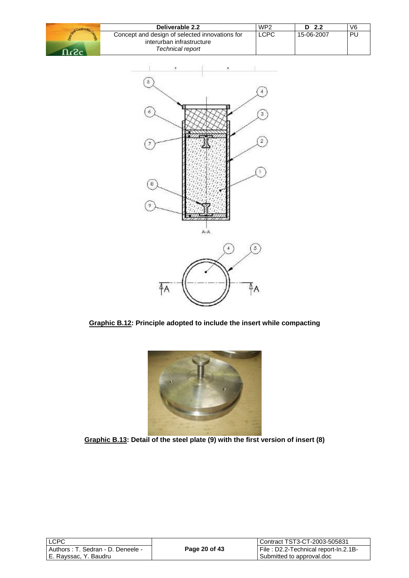| Deliverable 2.2                                                                                 | WP <sub>2</sub> | D 2.2      | V6 |
|-------------------------------------------------------------------------------------------------|-----------------|------------|----|
| Concept and design of selected innovations for<br>interurban infrastructure<br>Technical report | <b>LCPC</b>     | 15-06-2007 | PL |







**Graphic B.13: Detail of the steel plate (9) with the first version of insert (8)**

| <b>LCPC</b>                        |
|------------------------------------|
| Authors : T. Sedran - D. Deneele - |
| E. Rayssac, Y. Baudru              |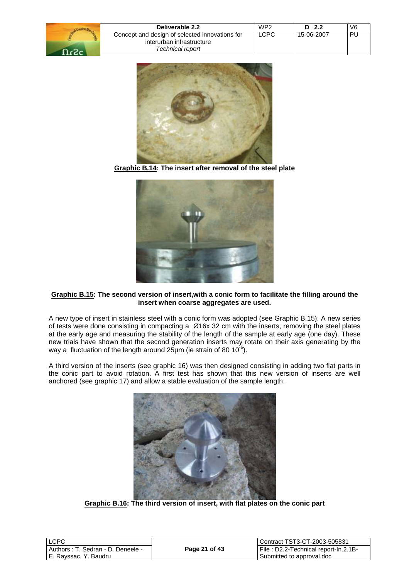| LCPC<br>Concept and design of selected innovations for<br>15-06-2007<br>РL<br>interurban infrastructure<br>Technical report | Deliverable 2.2 | WP <sub>2</sub> | D <sub>2.2</sub> | V6 |
|-----------------------------------------------------------------------------------------------------------------------------|-----------------|-----------------|------------------|----|
|                                                                                                                             |                 |                 |                  |    |



**Graphic B.14: The insert after removal of the steel plate**



#### **Graphic B.15: The second version of insert,with a conic form to facilitate the filling around the insert when coarse aggregates are used.**

A new type of insert in stainless steel with a conic form was adopted (see Graphic B.15). A new series of tests were done consisting in compacting a Ø16x 32 cm with the inserts, removing the steel plates at the early age and measuring the stability of the length of the sample at early age (one day). These new trials have shown that the second generation inserts may rotate on their axis generating by the way a fluctuation of the length around  $25\mu$ m (ie strain of 80 10<sup>-6</sup>).

A third version of the inserts (see graphic 16) was then designed consisting in adding two flat parts in the conic part to avoid rotation. A first test has shown that this new version of inserts are well anchored (see graphic 17) and allow a stable evaluation of the sample length.



**Graphic B.16: The third version of insert, with flat plates on the conic part** 

| <b>LCPC</b>                          |               | Contract TST3-CT-2003-505831         |
|--------------------------------------|---------------|--------------------------------------|
| . Authors : T. Sedran - D. Deneele - | Page 21 of 43 | File: D2.2-Technical report-In.2.1B- |
| l E. Ravssac. Y. Baudru              |               | Submitted to approval.doc            |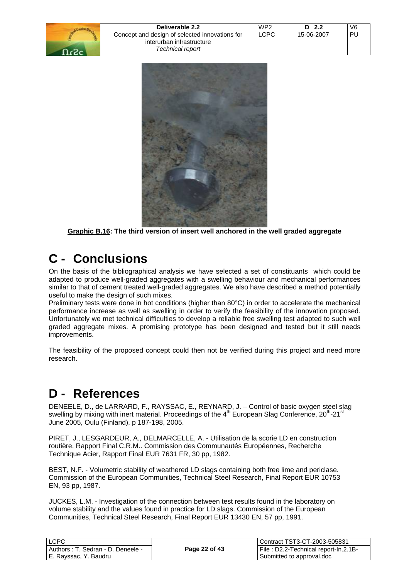| Deliverable 2.2                                                                                 | WP <sub>2</sub> | - 2.2      | V6 |
|-------------------------------------------------------------------------------------------------|-----------------|------------|----|
| Concept and design of selected innovations for<br>interurban infrastructure<br>Technical report | LCPC            | 15-06-2007 | PU |



**Graphic B.16: The third version of insert well anchored in the well graded aggregate** 

## **C - Conclusions**

On the basis of the bibliographical analysis we have selected a set of constituants which could be adapted to produce well-graded aggregates with a swelling behaviour and mechanical performances similar to that of cement treated well-graded aggregates. We also have described a method potentially useful to make the design of such mixes.

Preliminary tests were done in hot conditions (higher than 80°C) in order to accelerate the mechanical performance increase as well as swelling in order to verify the feasibility of the innovation proposed. Unfortunately we met technical difficulties to develop a reliable free swelling test adapted to such well graded aggregate mixes. A promising prototype has been designed and tested but it still needs improvements.

The feasibility of the proposed concept could then not be verified during this project and need more research.

## **D - References**

DENEELE, D., de LARRARD, F., RAYSSAC, E., REYNARD, J. – Control of basic oxygen steel slag swelling by mixing with inert material. Proceedings of the  $4<sup>th</sup>$  European Slag Conference,  $20<sup>th</sup>$ - $21<sup>st</sup>$ June 2005, Oulu (Finland), p 187-198, 2005.

PIRET, J., LESGARDEUR, A., DELMARCELLE, A. - Utilisation de la scorie LD en construction routière. Rapport Final C.R.M.. Commission des Communautés Européennes, Recherche Technique Acier, Rapport Final EUR 7631 FR, 30 pp, 1982.

BEST, N.F. - Volumetric stability of weathered LD slags containing both free lime and periclase. Commission of the European Communities, Technical Steel Research, Final Report EUR 10753 EN, 93 pp, 1987.

JUCKES, L.M. - Investigation of the connection between test results found in the laboratory on volume stability and the values found in practice for LD slags. Commission of the European Communities, Technical Steel Research, Final Report EUR 13430 EN, 57 pp, 1991.

| <b>ILCPC</b>                      |               | l Contract TST3-CT-2003-505831        |
|-----------------------------------|---------------|---------------------------------------|
| Authors: T. Sedran - D. Deneele - | Page 22 of 43 | File : D2.2-Technical report-In.2.1B- |
| I E. Ravssac. Y. Baudru           |               | Submitted to approval.doc             |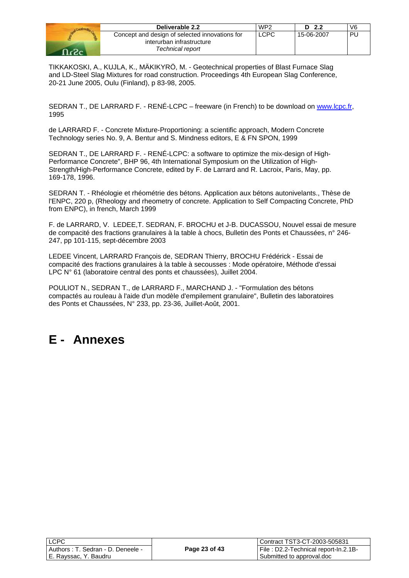|           | Deliverable 2.2                                                                                 | WP <sub>2</sub> | D 2.2      | V6 |
|-----------|-------------------------------------------------------------------------------------------------|-----------------|------------|----|
| $2.2 - 1$ | Concept and design of selected innovations for<br>interurban infrastructure<br>Technical report | LCPC            | 15-06-2007 | PU |

TIKKAKOSKI, A., KUJLA, K., MÄKIKYRÖ, M. - Geotechnical properties of Blast Furnace Slag and LD-Steel Slag Mixtures for road construction. Proceedings 4th European Slag Conference, 20-21 June 2005, Oulu (Finland), p 83-98, 2005.

SEDRAN T., DE LARRARD F. - RENÉ-LCPC – freeware (in French) to be download on www.lcpc.fr, 1995

de LARRARD F. - Concrete Mixture-Proportioning: a scientific approach, Modern Concrete Technology series No. 9, A. Bentur and S. Mindness editors, E & FN SPON, 1999

SEDRAN T., DE LARRARD F. - RENÉ-LCPC: a software to optimize the mix-design of High-Performance Concrete", BHP 96, 4th International Symposium on the Utilization of High-Strength/High-Performance Concrete, edited by F. de Larrard and R. Lacroix, Paris, May, pp. 169-178, 1996.

SEDRAN T. - Rhéologie et rhéométrie des bétons. Application aux bétons autonivelants., Thèse de l'ENPC, 220 p, (Rheology and rheometry of concrete. Application to Self Compacting Concrete, PhD from ENPC), in french, March 1999

F. de LARRARD, V. LEDEE,T. SEDRAN, F. BROCHU et J-B. DUCASSOU, Nouvel essai de mesure de compacité des fractions granulaires à la table à chocs, Bulletin des Ponts et Chaussées, n° 246- 247, pp 101-115, sept-décembre 2003

LEDEE Vincent, LARRARD François de, SEDRAN Thierry, BROCHU Frédérick - Essai de compacité des fractions granulaires à la table à secousses : Mode opératoire, Méthode d'essai LPC N° 61 (laboratoire central des ponts et chaussées), Juillet 2004.

POULIOT N., SEDRAN T., de LARRARD F., MARCHAND J. - "Formulation des bétons compactés au rouleau à l'aide d'un modèle d'empilement granulaire", Bulletin des laboratoires des Ponts et Chaussées, N° 233, pp. 23-36, Juillet-Août, 2001.

## **E - Annexes**

LC

| LCPC                               |               | Contract TST3-CT-2003-505831         |  |
|------------------------------------|---------------|--------------------------------------|--|
| Authors : T. Sedran - D. Deneele - | Page 23 of 43 | File: D2.2-Technical report-In.2.1B- |  |
| E. Rayssac, Y. Baudru              |               | Submitted to approval.doc            |  |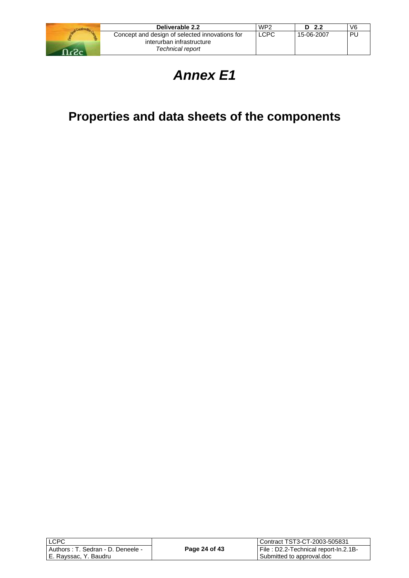

| Deliverable 2.2                                | WP <sub>2</sub> | - 2.2<br>D | V <sub>6</sub> |
|------------------------------------------------|-----------------|------------|----------------|
| Concept and design of selected innovations for | <b>LCPC</b>     | 15-06-2007 | PU             |
| interurban infrastructure                      |                 |            |                |
| Technical report                               |                 |            |                |

# *Annex E1*

# **Properties and data sheets of the components**

| LCPC                  |                                   |  |
|-----------------------|-----------------------------------|--|
|                       | Authors: T. Sedran - D. Deneele - |  |
| E. Rayssac, Y. Baudru |                                   |  |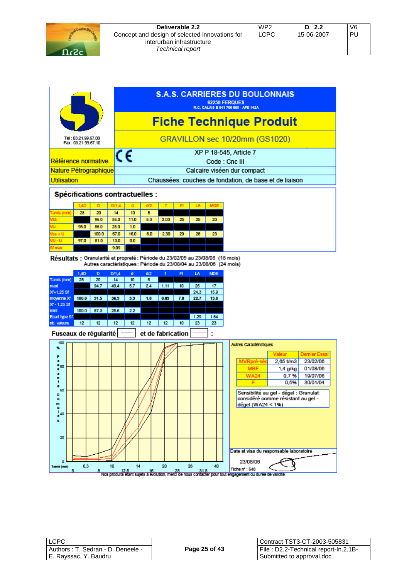| Deliverable 2.2                                                                                 | WP <sub>2</sub> | D<br>- 2.2 | V6  |
|-------------------------------------------------------------------------------------------------|-----------------|------------|-----|
| Concept and design of selected innovations for<br>interurban infrastructure<br>Technical report | <b>LCPC</b>     | 15-06-2007 | DI. |



| LCPC                              |               | l Contract TST3-CT-2003-505831       |
|-----------------------------------|---------------|--------------------------------------|
| Authors: T. Sedran - D. Deneele - | Page 25 of 43 | File: D2.2-Technical report-In.2.1B- |
| E. Rayssac, Y. Baudru             |               | Submitted to approval.doc            |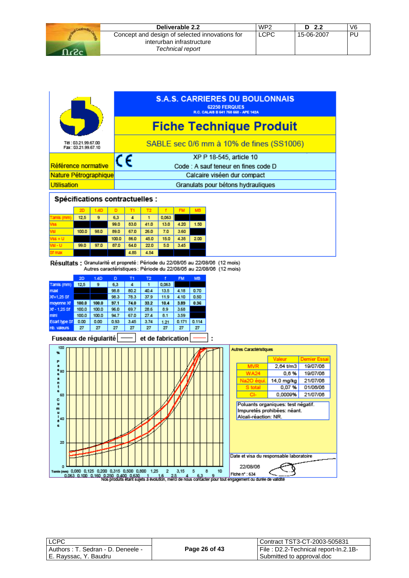| Deliverable 2.2                                                                                 | WP <sub>2</sub> | D <sub>2.2</sub> | V <sub>6</sub> |
|-------------------------------------------------------------------------------------------------|-----------------|------------------|----------------|
| Concept and design of selected innovations for<br>interurban infrastructure<br>Technical report | LCPC            | 15-06-2007       | PL             |



Résultats : Granularité et propreté : Période du 22/08/05 au 22/08/06 (12 mois) Autres caractéristiques : Période du 22/08/05 au 22/08/06 (12 mois)

|               | 2D    | 1.4D  | D    | T1   | T2   |       | <b>FM</b> | <b>MB</b> |
|---------------|-------|-------|------|------|------|-------|-----------|-----------|
| Tamis (mm)    | 12,5  | 9     | 6.3  | 4    |      | 0.063 |           |           |
| maxi          |       |       | 98.8 | 80.2 | 40.4 | 13.5  | 4.18      | 0.70      |
| Xf+1,25 Sf    |       |       | 98.3 | 78.3 | 37.9 | 11.9  | 4.10      | 0.50      |
| moyenne XI    | 100.0 | 100.0 | 97.1 | 74.0 | 33.2 | 10.4  | 3.89      | 0.36      |
| Xf - 1.25 Sf  | 100.0 | 100.0 | 96.0 | 69.7 | 28.6 | 8.9   | 3.68      |           |
| mini          | 100.0 | 100.0 | 94.7 | 67.0 | 27.4 | 8.1   | 3.59      |           |
| Ecart type Sf | 0.00  | 0.00  | 0.93 | 3.45 | 3.74 | 1.21  | 0.171     | 0.114     |
| nb. valeurs   | 27    | 27    | 27   | 27   | 27   | 27    | 27        | 27        |

Fuseaux de régularité et de fabrication



 $\ddot{\phantom{a}}$ 

| <b>LCPC</b>                        |               |
|------------------------------------|---------------|
| Authors : T. Sedran - D. Deneele - | Page 26 of 43 |
| E. Rayssac, Y. Baudru              |               |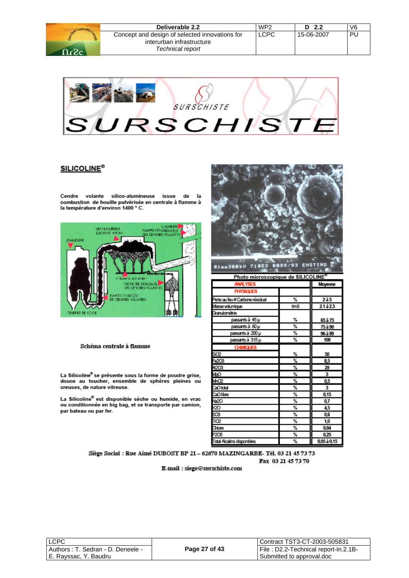| Deliverable 2.2                                                                                 | WP <sub>2</sub> | D $2.2$    | V6 |
|-------------------------------------------------------------------------------------------------|-----------------|------------|----|
| Concept and design of selected innovations for<br>interurban infrastructure<br>Technical report | LCPC            | 15-06-2007 | ΡL |



### **SILICOLINE®**

Cendre volante silico-alumineuse issue de la combustion de houille pulvérisée en centrale à flamme à<br>la température d'environ 1400 ° C.



#### Schéma centrale à flamme

La Silicoline® se présente sous la forme de poudre grise, douce au toucher, ensemble de sphères pleines ou creuses, de nature vitreuse.

La Silicoline® est disponible sèche ou humide, en vrac ou conditionnée en big bag, et se transporte par camion, par bateau ou par fer.



| <b>ANALYSES</b>               |      | Moyenne                 |
|-------------------------------|------|-------------------------|
| <b>PHYSIQUES</b>              |      |                         |
| Perte au feu#Carbone résiduel | ℁    | 2a5                     |
| Masse volumique               | tim3 | 21à23                   |
| Granulométrie                 |      |                         |
| passants à 45 µ               | ℁    | 65 à 75                 |
| passants à 80 µ               | ℁    | 75 à 90                 |
| passants à 200 µ              | ℁    | 96 à 99                 |
| passants à 315 µ              | ℁    | 100                     |
| <b>CHIMQUES</b>               |      |                         |
| sœ                            | ℁    | 50                      |
| F@03                          | ℁    | 8,5                     |
| AI2CB                         | ℁    | 29                      |
| QpM                           | ℁    | 3                       |
| MnC2                          | ℁    | 0,5                     |
| CaOtotal                      | ℁    | $\overline{\mathbf{3}}$ |
| CaOlibre                      | ℁    | 0,15                    |
| 옗영ස                           | ℁    | 0,7                     |
|                               | ℁    | 4,5                     |
|                               | ℁    | 0,6                     |
| ΤiΩ2                          | ℁    | 1,0                     |
| Chlore                        | ℁    | 0.04                    |
| P2O5                          | ℁    | 0.25                    |
| Total Alcalins disponibles    | ℁    | 0,05 à 0,15             |

Siège Social : Rue Aimé DUBOST BP 21 - 62670 MAZINGARBE- Tél. 03 21 45 73 73 Fax 03 21 45 73 70

E-mail: siege@surschiste.com

| <b>LCPC</b>                        |
|------------------------------------|
| Authors : T. Sedran - D. Deneele - |
| E. Rayssac, Y. Baudru              |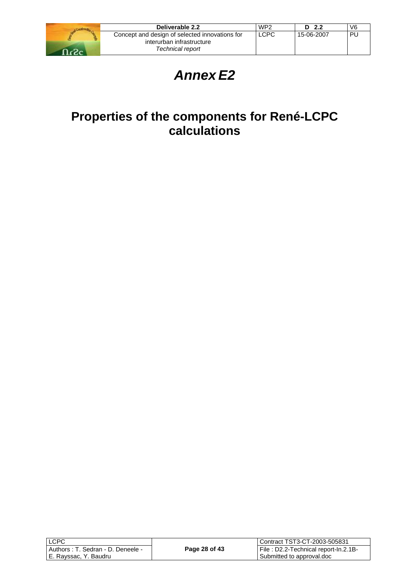

| Deliverable 2.2                                | WP <sub>2</sub> | D <sub>2.2</sub> | V6 |
|------------------------------------------------|-----------------|------------------|----|
| Concept and design of selected innovations for | <b>LCPC</b>     | 15-06-2007       | PU |
| interurban infrastructure                      |                 |                  |    |
| Technical report                               |                 |                  |    |

# *Annex E2*

# **Properties of the components for René-LCPC calculations**

| <b>ILCPC</b>                       |               |
|------------------------------------|---------------|
| Authors : T. Sedran - D. Deneele - | Page 28 of 43 |
| E. Rayssac, Y. Baudru              |               |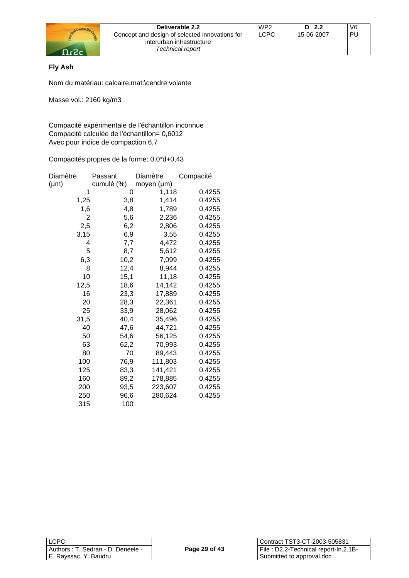

| Deliverable 2.2                                | WP <sub>2</sub> | D <sub>2.2</sub> | V6 |
|------------------------------------------------|-----------------|------------------|----|
| Concept and design of selected innovations for | <b>LCPC</b>     | 15-06-2007       | PU |
| interurban infrastructure                      |                 |                  |    |
| Technical report                               |                 |                  |    |

## **Fly Ash**

Nom du matériau: calcaire.mat:\cendre volante

Masse vol.: 2160 kg/m3

Compacité expérimentale de l'échantillon inconnue Compacité calculée de l'échantillon= 0,6012 Avec pour indice de compaction 6,7

| Diamètre  | Passant    | Diamètre   | Compacité |
|-----------|------------|------------|-----------|
| $(\mu m)$ | cumulé (%) | moyen (µm) |           |
| 1         | 0          | 1,118      | 0,4255    |
| 1,25      | 3,8        | 1,414      | 0,4255    |
| 1,6       | 4,8        | 1,789      | 0,4255    |
| 2         | 5,6        | 2,236      | 0,4255    |
| 2,5       | 6,2        | 2,806      | 0,4255    |
| 3,15      | 6,9        | 3,55       | 0,4255    |
| 4         | 7,7        | 4,472      | 0,4255    |
| 5         | 8,7        | 5,612      | 0,4255    |
| 6,3       | 10,2       | 7,099      | 0,4255    |
| 8         | 12,4       | 8,944      | 0,4255    |
| 10        | 15,1       | 11,18      | 0,4255    |
| 12,5      | 18,6       | 14,142     | 0,4255    |
| 16        | 23,3       | 17,889     | 0,4255    |
| 20        | 28,3       | 22,361     | 0,4255    |
| 25        | 33,9       | 28,062     | 0,4255    |
| 31,5      | 40,4       | 35,496     | 0,4255    |
| 40        | 47,6       | 44,721     | 0,4255    |
| 50        | 54,6       | 56,125     | 0,4255    |
| 63        | 62,2       | 70,993     | 0,4255    |
| 80        | 70         | 89,443     | 0,4255    |
| 100       | 76,9       | 111,803    | 0,4255    |
| 125       | 83,3       | 141,421    | 0,4255    |
| 160       | 89,2       | 178,885    | 0,4255    |
| 200       | 93,5       | 223,607    | 0,4255    |
| 250       | 96,6       | 280,624    | 0,4255    |
| 315       | 100        |            |           |

| <b>LCPC</b>                       |               | l Contract TST3-CT-2003-505831       |
|-----------------------------------|---------------|--------------------------------------|
| Authors: T. Sedran - D. Deneele - | Page 29 of 43 | File: D2.2-Technical report-In.2.1B- |
| E. Rayssac, Y. Baudru             |               | Submitted to approval.doc            |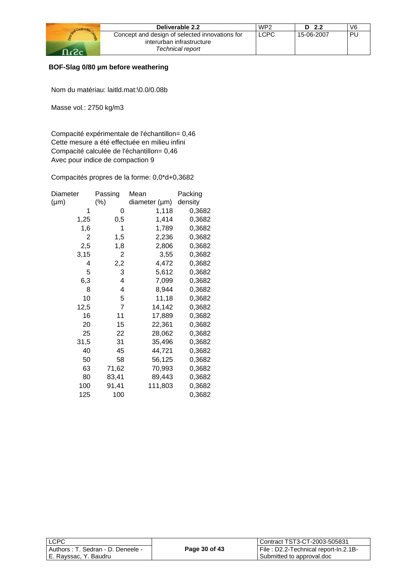| Deliverable 2.2                                | WP <sub>2</sub> | D <sub>2.2</sub> | V6 |
|------------------------------------------------|-----------------|------------------|----|
| Concept and design of selected innovations for | <b>LCPC</b>     | 15-06-2007       | PU |
| interurban infrastructure                      |                 |                  |    |
| Technical report                               |                 |                  |    |

## **BOF-Slag 0/80 µm before weathering**

Nom du matériau: laitld.mat:\0.0/0.08b

Masse vol.: 2750 kg/m3

Compacité expérimentale de l'échantillon= 0,46 Cette mesure a été effectuée en milieu infini Compacité calculée de l'échantillon= 0,46 Avec pour indice de compaction 9

| Diameter  | Passing | Mean          | Packing |
|-----------|---------|---------------|---------|
| $(\mu m)$ | $(\%)$  | diameter (µm) | density |
| 1         | 0       | 1,118         | 0,3682  |
| 1,25      | 0,5     | 1,414         | 0,3682  |
| 1,6       | 1       | 1,789         | 0,3682  |
| 2         | 1,5     | 2,236         | 0,3682  |
| 2,5       | 1,8     | 2,806         | 0,3682  |
| 3,15      | 2       | 3,55          | 0,3682  |
| 4         | 2,2     | 4,472         | 0,3682  |
| 5         | 3       | 5,612         | 0,3682  |
| 6,3       | 4       | 7,099         | 0,3682  |
| 8         | 4       | 8,944         | 0,3682  |
| 10        | 5       | 11,18         | 0,3682  |
| 12,5      | 7       | 14,142        | 0,3682  |
| 16        | 11      | 17,889        | 0,3682  |
| 20        | 15      | 22,361        | 0,3682  |
| 25        | 22      | 28,062        | 0,3682  |
| 31,5      | 31      | 35,496        | 0,3682  |
| 40        | 45      | 44,721        | 0,3682  |
| 50        | 58      | 56,125        | 0,3682  |
| 63        | 71,62   | 70,993        | 0,3682  |
| 80        | 83,41   | 89,443        | 0,3682  |
| 100       | 91,41   | 111,803       | 0,3682  |
| 125       | 100     |               | 0,3682  |

| <b>LCPC</b>                       |               | Contract TST3-CT-2003-505831         |
|-----------------------------------|---------------|--------------------------------------|
| Authors: T. Sedran - D. Deneele - | Page 30 of 43 | File: D2.2-Technical report-In.2.1B- |
| E. Rayssac, Y. Baudru             |               | Submitted to approval.doc            |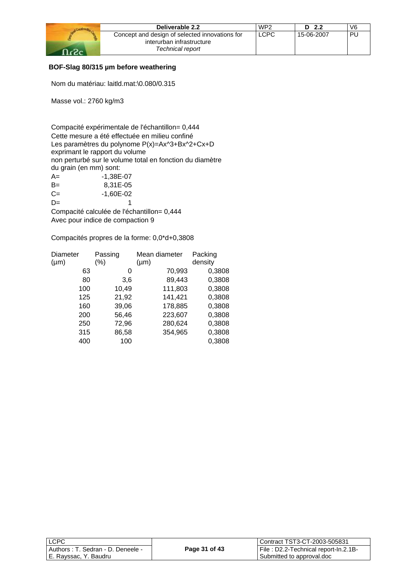| Deliverable 2.2                                                             | WP <sub>2</sub> | D <sub>2.2</sub> | V <sub>6</sub> |
|-----------------------------------------------------------------------------|-----------------|------------------|----------------|
| Concept and design of selected innovations for<br>interurban infrastructure | <b>LCPC</b>     | 15-06-2007       | PΙ             |
| Technical report                                                            |                 |                  |                |

### **BOF-Slag 80/315 µm before weathering**

Nom du matériau: laitld.mat:\0.080/0.315

Masse vol.: 2760 kg/m3

Compacité expérimentale de l'échantillon= 0,444 Cette mesure a été effectuée en milieu confiné Les paramètres du polynome P(x)=Ax^3+Bx^2+Cx+D exprimant le rapport du volume non perturbé sur le volume total en fonction du diamètre du grain (en mm) sont: A= -1,38E-07 B= 8,31E-05 C= -1,60E-02

 $D=$  1 Compacité calculée de l'échantillon= 0,444 Avec pour indice de compaction 9

| Diameter  | Passing | Mean diameter | Packing |
|-----------|---------|---------------|---------|
| $(\mu m)$ | (%)     | $(\mu m)$     | density |
| 63        | 0       | 70,993        | 0,3808  |
| 80        | 3,6     | 89,443        | 0,3808  |
| 100       | 10,49   | 111,803       | 0,3808  |
| 125       | 21,92   | 141,421       | 0,3808  |
| 160       | 39,06   | 178,885       | 0,3808  |
| 200       | 56,46   | 223,607       | 0,3808  |
| 250       | 72,96   | 280,624       | 0,3808  |
| 315       | 86,58   | 354,965       | 0,3808  |
| 400       | 100     |               | 0,3808  |

| I LCPC                                                          |               | Contract TST3-CT-2003-505831                                      |
|-----------------------------------------------------------------|---------------|-------------------------------------------------------------------|
| l Authors : T. Sedran - D. Deneele -<br>  E. Rayssac, Y. Baudru | Page 31 of 43 | File: D2.2-Technical report-In.2.1B-<br>Submitted to approval.doc |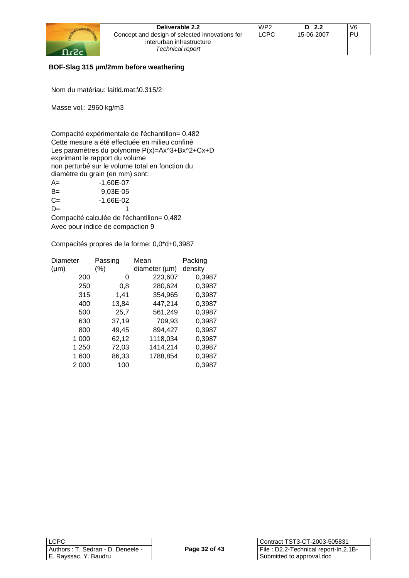| Deliverable 2.2                                                             | WP <sub>2</sub> | D <sub>2.2</sub> | V6 |
|-----------------------------------------------------------------------------|-----------------|------------------|----|
| Concept and design of selected innovations for<br>interurban infrastructure | LCPC            | 15-06-2007       | PL |
| Technical report                                                            |                 |                  |    |

## **BOF-Slag 315 µm/2mm before weathering**

Nom du matériau: laitld.mat:\0.315/2

Masse vol.: 2960 kg/m3

Compacité expérimentale de l'échantillon= 0,482 Cette mesure a été effectuée en milieu confiné Les paramètres du polynome P(x)=Ax^3+Bx^2+Cx+D exprimant le rapport du volume non perturbé sur le volume total en fonction du diamètre du grain (en mm) sont:

| $A=$ | -1.60E-07   |
|------|-------------|
| $B=$ | 9,03E-05    |
| $C=$ | $-1,66E-02$ |
| $D=$ |             |

Compacité calculée de l'échantillon= 0,482 Avec pour indice de compaction 9

| Diameter  | Passing | Mean          | Packing |
|-----------|---------|---------------|---------|
| $(\mu m)$ | (%)     | diameter (µm) | density |
| 200       | 0       | 223,607       | 0,3987  |
| 250       | 0,8     | 280,624       | 0,3987  |
| 315       | 1,41    | 354,965       | 0,3987  |
| 400       | 13,84   | 447,214       | 0,3987  |
| 500       | 25,7    | 561,249       | 0,3987  |
| 630       | 37,19   | 709,93        | 0,3987  |
| 800       | 49,45   | 894,427       | 0,3987  |
| 1 000     | 62,12   | 1118,034      | 0,3987  |
| 1 250     | 72,03   | 1414,214      | 0,3987  |
| 1600      | 86,33   | 1788,854      | 0,3987  |
| 2 000     | 100     |               | 0,3987  |
|           |         |               |         |

| <b>LCPC</b>                        |               | Contract TST3-CT-2003-505831         |
|------------------------------------|---------------|--------------------------------------|
| Authors : T. Sedran - D. Deneele - | Page 32 of 43 | File: D2.2-Technical report-In.2.1B- |
| I E. Rayssac, Y. Baudru            |               | Submitted to approval.doc            |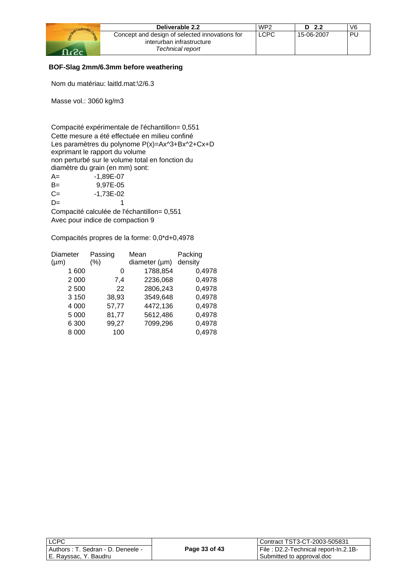| Deliverable 2.2                                                             | WP <sub>2</sub> | D <sub>2.2</sub> | V6  |
|-----------------------------------------------------------------------------|-----------------|------------------|-----|
| Concept and design of selected innovations for<br>interurban infrastructure | LCPC            | 15-06-2007       | PI. |
| Technical report                                                            |                 |                  |     |

## **BOF-Slag 2mm/6.3mm before weathering**

Nom du matériau: laitld.mat:\2/6.3

Masse vol.: 3060 kg/m3

Compacité expérimentale de l'échantillon= 0,551 Cette mesure a été effectuée en milieu confiné Les paramètres du polynome P(x)=Ax^3+Bx^2+Cx+D exprimant le rapport du volume non perturbé sur le volume total en fonction du diamètre du grain (en mm) sont: A= -1,89E-07 B= 9,97E-05 C= -1,73E-02  $D=$  1

Compacité calculée de l'échantillon= 0,551 Avec pour indice de compaction 9

| Diameter  | Passing | Mean               | Packing |
|-----------|---------|--------------------|---------|
| $(\mu m)$ | $(\%)$  | diameter $(\mu m)$ | density |
| 1 600     | O       | 1788,854           | 0,4978  |
| 2 0 0 0   | 7,4     | 2236,068           | 0,4978  |
| 2 500     | 22      | 2806,243           | 0,4978  |
| 3 1 5 0   | 38,93   | 3549,648           | 0,4978  |
| 4 0 0 0   | 57,77   | 4472,136           | 0,4978  |
| 5 0 0 0   | 81,77   | 5612,486           | 0,4978  |
| 6 300     | 99,27   | 7099,296           | 0,4978  |
| 8 000     | 100     |                    | 0,4978  |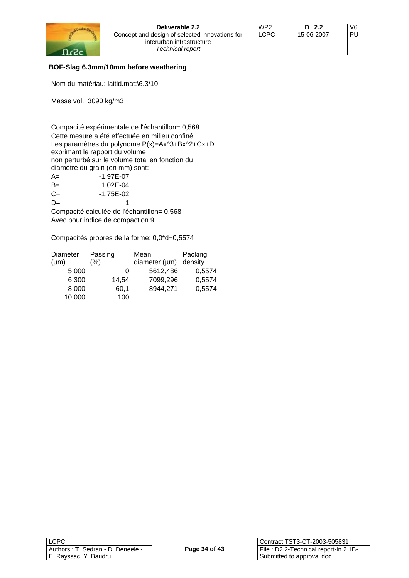| Deliverable 2.2                                                             | WP <sub>2</sub> | D <sub>2.2</sub> | V6 |
|-----------------------------------------------------------------------------|-----------------|------------------|----|
| Concept and design of selected innovations for<br>interurban infrastructure | LCPC            | 15-06-2007       | PL |
| Technical report                                                            |                 |                  |    |

## **BOF-Slag 6.3mm/10mm before weathering**

Nom du matériau: laitld.mat:\6.3/10

Masse vol.: 3090 kg/m3

Compacité expérimentale de l'échantillon= 0,568 Cette mesure a été effectuée en milieu confiné Les paramètres du polynome P(x)=Ax^3+Bx^2+Cx+D exprimant le rapport du volume non perturbé sur le volume total en fonction du diamètre du grain (en mm) sont: A= -1,97E-07 B= 1,02E-04 C= -1,75E-02  $D=$  1

Compacité calculée de l'échantillon= 0,568 Avec pour indice de compaction 9

| Diameter  | Passing | Mean                       | Packing |
|-----------|---------|----------------------------|---------|
| $(\mu m)$ | $(\% )$ | diameter $(\mu m)$ density |         |
| 5 0 0 0   | O       | 5612,486                   | 0,5574  |
| 6 300     | 14,54   | 7099,296                   | 0,5574  |
| 8 0 0 0   | 60,1    | 8944,271                   | 0,5574  |
| 10 000    | 100     |                            |         |

| LCPC                                 |               | l Contract TST3-CT-2003-505831       |
|--------------------------------------|---------------|--------------------------------------|
| I Authors : T. Sedran - D. Deneele - | Page 34 of 43 | File: D2.2-Technical report-In.2.1B- |
| E. Rayssac, Y. Baudru                |               | Submitted to approval.doc            |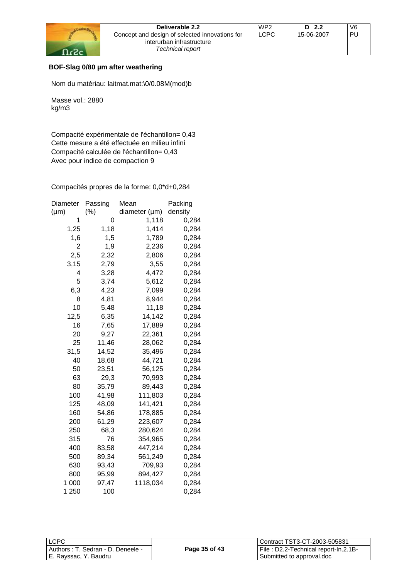| Deliverable 2.2                                                             | WP <sub>2</sub> | D <sub>2.2</sub> | V6 |
|-----------------------------------------------------------------------------|-----------------|------------------|----|
| Concept and design of selected innovations for<br>interurban infrastructure | <b>LCPC</b>     | 15-06-2007       | ΡI |
| Technical report                                                            |                 |                  |    |

## **BOF-Slag 0/80 µm after weathering**

Nom du matériau: laitmat.mat:\0/0.08M(mod)b

Masse vol.: 2880 kg/m3

Compacité expérimentale de l'échantillon= 0,43 Cette mesure a été effectuée en milieu infini Compacité calculée de l'échantillon= 0,43 Avec pour indice de compaction 9

| Diameter  | Passing | Mean          | Packing |
|-----------|---------|---------------|---------|
| $(\mu m)$ | (%)     | diameter (µm) | density |
| 1         | 0       | 1,118         | 0,284   |
| 1,25      | 1,18    | 1,414         | 0,284   |
| 1,6       | 1,5     | 1,789         | 0,284   |
| 2         | 1,9     | 2,236         | 0,284   |
| 2,5       | 2,32    | 2,806         | 0,284   |
| 3,15      | 2,79    | 3,55          | 0,284   |
| 4         | 3,28    | 4,472         | 0,284   |
| 5         | 3,74    | 5,612         | 0,284   |
| 6,3       | 4,23    | 7,099         | 0,284   |
| 8         | 4,81    | 8,944         | 0,284   |
| 10        | 5,48    | 11,18         | 0,284   |
| 12,5      | 6,35    | 14,142        | 0,284   |
| 16        | 7,65    | 17,889        | 0,284   |
| 20        | 9,27    | 22,361        | 0,284   |
| 25        | 11,46   | 28,062        | 0,284   |
| 31,5      | 14,52   | 35,496        | 0,284   |
| 40        | 18,68   | 44,721        | 0,284   |
| 50        | 23,51   | 56,125        | 0,284   |
| 63        | 29,3    | 70,993        | 0,284   |
| 80        | 35,79   | 89,443        | 0,284   |
| 100       | 41,98   | 111,803       | 0,284   |
| 125       | 48,09   | 141,421       | 0,284   |
| 160       | 54,86   | 178,885       | 0,284   |
| 200       | 61,29   | 223,607       | 0,284   |
| 250       | 68,3    | 280,624       | 0,284   |
| 315       | 76      | 354,965       | 0,284   |
| 400       | 83,58   | 447,214       | 0,284   |
| 500       | 89,34   | 561,249       | 0,284   |
| 630       | 93,43   | 709,93        | 0,284   |
| 800       | 95,99   | 894,427       | 0,284   |
| 1 000     | 97,47   | 1118,034      | 0,284   |
| 1 250     | 100     |               | 0,284   |

| <b>LCPC</b>                        |               | Contract TST3-CT-2003-505831          |
|------------------------------------|---------------|---------------------------------------|
| Authors : T. Sedran - D. Deneele - | Page 35 of 43 | File : D2.2-Technical report-In.2.1B- |
| E. Ravssac. Y. Baudru              |               | Submitted to approval.doc             |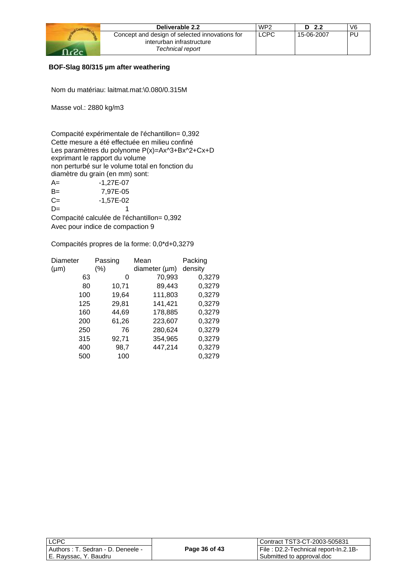| Deliverable 2.2                                | WP <sub>2</sub> | - 2.2<br>D. | V6 |
|------------------------------------------------|-----------------|-------------|----|
| Concept and design of selected innovations for | <b>LCPC</b>     | 15-06-2007  | PU |
| interurban infrastructure                      |                 |             |    |
| Technical report                               |                 |             |    |

## **BOF-Slag 80/315 µm after weathering**

Nom du matériau: laitmat.mat:\0.080/0.315M

Masse vol.: 2880 kg/m3

Compacité expérimentale de l'échantillon= 0,392 Cette mesure a été effectuée en milieu confiné Les paramètres du polynome P(x)=Ax^3+Bx^2+Cx+D exprimant le rapport du volume non perturbé sur le volume total en fonction du diamètre du grain (en mm) sont:

| $A=$  | $-1,27E-07$ |
|-------|-------------|
| $B=$  | 7,97E-05    |
| $C =$ | $-1,57E-02$ |
| $D=$  |             |

Compacité calculée de l'échantillon= 0,392 Avec pour indice de compaction 9

| Diameter  | Passing | Mean               | Packing |  |
|-----------|---------|--------------------|---------|--|
| $(\mu m)$ | $(\% )$ | diameter $(\mu m)$ | density |  |
| 63        | 0       | 70,993             | 0,3279  |  |
| 80        | 10,71   | 89,443             | 0,3279  |  |
| 100       | 19,64   | 111,803            | 0,3279  |  |
| 125       | 29,81   | 141,421            | 0,3279  |  |
| 160       | 44,69   | 178,885            | 0,3279  |  |
| 200       | 61,26   | 223,607            | 0,3279  |  |
| 250       | 76      | 280,624            | 0,3279  |  |
| 315       | 92,71   | 354,965            | 0,3279  |  |
| 400       | 98,7    | 447,214            | 0,3279  |  |
| 500       | 100     |                    | 0,3279  |  |

| l LCPC                               |               | Contract TST3-CT-2003-505831         |
|--------------------------------------|---------------|--------------------------------------|
| l Authors : T. Sedran - D. Deneele - | Page 36 of 43 | File: D2.2-Technical report-In.2.1B- |
| E. Rayssac, Y. Baudru                |               | Submitted to approval.doc            |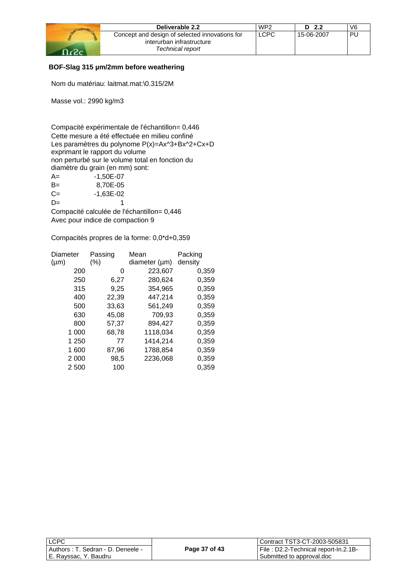| Deliverable 2.2                                                             | WP <sub>2</sub> | D $2.2$    | V6        |
|-----------------------------------------------------------------------------|-----------------|------------|-----------|
| Concept and design of selected innovations for<br>interurban infrastructure | <b>LCPC</b>     | 15-06-2007 | <b>PL</b> |
| Technical report                                                            |                 |            |           |

## **BOF-Slag 315 µm/2mm before weathering**

Nom du matériau: laitmat.mat:\0.315/2M

Masse vol.: 2990 kg/m3

Compacité expérimentale de l'échantillon= 0,446 Cette mesure a été effectuée en milieu confiné Les paramètres du polynome P(x)=Ax^3+Bx^2+Cx+D exprimant le rapport du volume non perturbé sur le volume total en fonction du diamètre du grain (en mm) sont: A= -1,50E-07 B= 8,70E-05  $C=$   $-1,63E-02$  $D=$  1

Compacité calculée de l'échantillon= 0,446 Avec pour indice de compaction 9

| Diameter  | Passing | Mean          | Packing |
|-----------|---------|---------------|---------|
| $(\mu m)$ | (%)     | diameter (µm) | density |
| 200       | 0       | 223,607       | 0,359   |
| 250       | 6,27    | 280,624       | 0,359   |
| 315       | 9,25    | 354,965       | 0,359   |
| 400       | 22,39   | 447,214       | 0,359   |
| 500       | 33,63   | 561,249       | 0,359   |
| 630       | 45,08   | 709,93        | 0,359   |
| 800       | 57,37   | 894,427       | 0,359   |
| 1 000     | 68,78   | 1118,034      | 0,359   |
| 1 250     | 77      | 1414,214      | 0,359   |
| 1600      | 87,96   | 1788,854      | 0,359   |
| 2 0 0 0   | 98,5    | 2236,068      | 0,359   |
| 2 500     | 100     |               | 0,359   |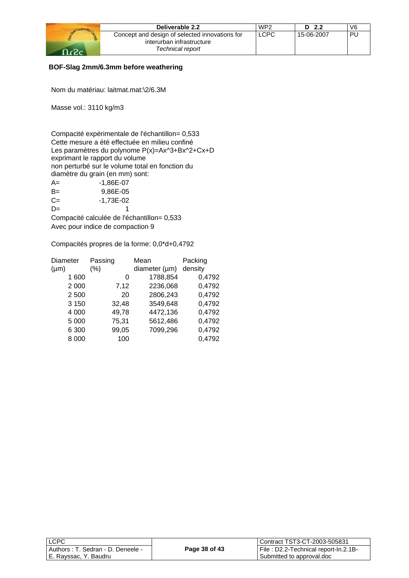| Deliverable 2.2                                                             | WP <sub>2</sub> | D <sub>2.2</sub> | V6  |
|-----------------------------------------------------------------------------|-----------------|------------------|-----|
| Concept and design of selected innovations for<br>interurban infrastructure | LCPC            | 15-06-2007       | PI. |
| Technical report                                                            |                 |                  |     |

## **BOF-Slag 2mm/6.3mm before weathering**

Nom du matériau: laitmat.mat:\2/6.3M

Masse vol.: 3110 kg/m3

Compacité expérimentale de l'échantillon= 0,533 Cette mesure a été effectuée en milieu confiné Les paramètres du polynome P(x)=Ax^3+Bx^2+Cx+D exprimant le rapport du volume non perturbé sur le volume total en fonction du diamètre du grain (en mm) sont:

| $A=$  | -1.86E-07 |
|-------|-----------|
| $B=$  | 9.86E-05  |
| $C =$ | -1.73E-02 |
| $D=$  |           |

Compacité calculée de l'échantillon= 0,533 Avec pour indice de compaction 9

| Diameter  | Passing | Mean               | Packing |
|-----------|---------|--------------------|---------|
| $(\mu m)$ | $(\% )$ | diameter $(\mu m)$ | density |
| 1 600     | 0       | 1788,854           | 0,4792  |
| 2 0 0 0   | 7,12    | 2236,068           | 0,4792  |
| 2 500     | 20      | 2806,243           | 0,4792  |
| 3 1 5 0   | 32,48   | 3549,648           | 0,4792  |
| 4 0 0 0   | 49,78   | 4472,136           | 0,4792  |
| 5 0 0 0   | 75,31   | 5612,486           | 0,4792  |
| 6 300     | 99,05   | 7099,296           | 0,4792  |
| 8 0 0 0   | 100     |                    | 0,4792  |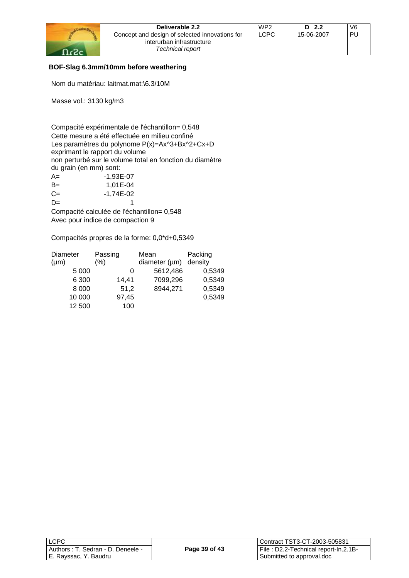|       | Deliverable 2.2                                                             | WP <sub>2</sub> | D <sub>2.2</sub> | V6 |
|-------|-----------------------------------------------------------------------------|-----------------|------------------|----|
|       | Concept and design of selected innovations for<br>interurban infrastructure | LCPC            | 15-06-2007       | ÞI |
| റ - റ | Technical report                                                            |                 |                  |    |

## **BOF-Slag 6.3mm/10mm before weathering**

Nom du matériau: laitmat.mat:\6.3/10M

Masse vol.: 3130 kg/m3

Compacité expérimentale de l'échantillon= 0,548 Cette mesure a été effectuée en milieu confiné Les paramètres du polynome P(x)=Ax^3+Bx^2+Cx+D exprimant le rapport du volume non perturbé sur le volume total en fonction du diamètre du grain (en mm) sont: A=  $-1,93E-07$ B= 1,01E-04  $C=$   $-1,74E-02$  $D=$  1

Compacité calculée de l'échantillon= 0,548 Avec pour indice de compaction 9

| Diameter  | Passing | Mean               | Packing |
|-----------|---------|--------------------|---------|
| $(\mu m)$ | (%)     | diameter $(\mu m)$ | density |
| 5 000     | 0       | 5612,486           | 0,5349  |
| 6 300     | 14,41   | 7099,296           | 0,5349  |
| 8 0 0 0   | 51,2    | 8944,271           | 0,5349  |
| 10 000    | 97,45   |                    | 0,5349  |
| 12 500    | 100     |                    |         |

| <b>LCPC</b>                       |               | Contract TST3-CT-2003-505831         |
|-----------------------------------|---------------|--------------------------------------|
| Authors: T. Sedran - D. Deneele - | Page 39 of 43 | File: D2.2-Technical report-In.2.1B- |
| E. Rayssac, Y. Baudru             |               | Submitted to approval.doc            |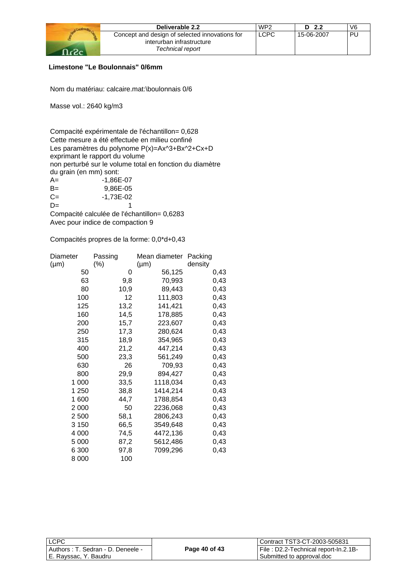| Deliverable 2.2                                | WP <sub>2</sub> | D <sub>2.2</sub> | V6 |
|------------------------------------------------|-----------------|------------------|----|
| Concept and design of selected innovations for | <b>LCPC</b>     | 15-06-2007       | PU |
| interurban infrastructure                      |                 |                  |    |
| Technical report                               |                 |                  |    |

## **Limestone "Le Boulonnais" 0/6mm**

Nom du matériau: calcaire.mat:\boulonnais 0/6

Masse vol.: 2640 kg/m3

Compacité expérimentale de l'échantillon= 0,628 Cette mesure a été effectuée en milieu confiné Les paramètres du polynome P(x)=Ax^3+Bx^2+Cx+D exprimant le rapport du volume non perturbé sur le volume total en fonction du diamètre du grain (en mm) sont:  $A = \begin{bmatrix} 1,86E-07 \end{bmatrix}$ B= 9,86E-05

| --    | $\sim$ , $\sim$ $\sim$ |
|-------|------------------------|
| $C =$ | -1,73E-02              |
| $D=$  |                        |

Compacité calculée de l'échantillon= 0,6283 Avec pour indice de compaction 9

| Diameter  | Passing | Mean diameter | Packing |
|-----------|---------|---------------|---------|
| $(\mu m)$ | $(\% )$ | $(\mu m)$     | density |
| 50        | 0       | 56,125        | 0,43    |
| 63        | 9,8     | 70,993        | 0,43    |
| 80        | 10,9    | 89,443        | 0,43    |
| 100       | 12      | 111,803       | 0,43    |
| 125       | 13,2    | 141,421       | 0,43    |
| 160       | 14,5    | 178,885       | 0,43    |
| 200       | 15,7    | 223,607       | 0,43    |
| 250       | 17,3    | 280,624       | 0,43    |
| 315       | 18,9    | 354,965       | 0,43    |
| 400       | 21,2    | 447,214       | 0,43    |
| 500       | 23,3    | 561,249       | 0,43    |
| 630       | 26      | 709,93        | 0,43    |
| 800       | 29,9    | 894,427       | 0,43    |
| 1 000     | 33,5    | 1118,034      | 0,43    |
| 1 250     | 38,8    | 1414,214      | 0,43    |
| 1600      | 44,7    | 1788,854      | 0,43    |
| 2 0 0 0   | 50      | 2236,068      | 0,43    |
| 2 500     | 58,1    | 2806,243      | 0,43    |
| 3 1 5 0   | 66,5    | 3549,648      | 0,43    |
| 4 0 0 0   | 74,5    | 4472,136      | 0,43    |
| 5 0 0 0   | 87,2    | 5612,486      | 0,43    |
| 6 300     | 97,8    | 7099,296      | 0,43    |
| 8 0 0 0   | 100     |               |         |

| <b>LCPC</b>                       |               | Contract TST3-CT-2003-505831         |
|-----------------------------------|---------------|--------------------------------------|
| Authors: T. Sedran - D. Deneele - | Page 40 of 43 | File: D2.2-Technical report-In.2.1B- |
| E. Rayssac, Y. Baudru             |               | Submitted to approval.doc            |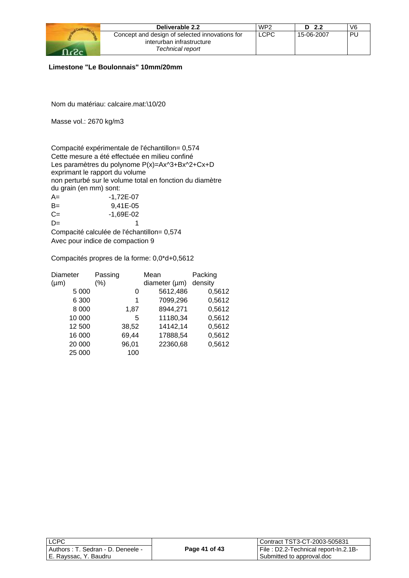| Deliverable 2.2                                | WP <sub>2</sub> | D $2.2$    | V6 |
|------------------------------------------------|-----------------|------------|----|
| Concept and design of selected innovations for | <b>LCPC</b>     | 15-06-2007 | PU |
| interurban infrastructure                      |                 |            |    |
| Technical report                               |                 |            |    |

### **Limestone "Le Boulonnais" 10mm/20mm**

Nom du matériau: calcaire.mat:\10/20

Masse vol.: 2670 kg/m3

Compacité expérimentale de l'échantillon= 0,574 Cette mesure a été effectuée en milieu confiné Les paramètres du polynome P(x)=Ax^3+Bx^2+Cx+D exprimant le rapport du volume non perturbé sur le volume total en fonction du diamètre du grain (en mm) sont: A= -1,72E-07 B= 9,41E-05  $C=$   $-1,69E-02$  $D=$  1

Compacité calculée de l'échantillon= 0,574 Avec pour indice de compaction 9

| <b>Diameter</b> | Passing |       | Mean               | Packing |
|-----------------|---------|-------|--------------------|---------|
| $(\mu m)$       | $(\% )$ |       | diameter $(\mu m)$ | density |
| 5 0 0 0         |         | 0     | 5612,486           | 0,5612  |
| 6 300           |         | 1     | 7099,296           | 0,5612  |
| 8 0 0 0         |         | 1.87  | 8944,271           | 0,5612  |
| 10 000          |         | 5     | 11180,34           | 0,5612  |
| 12 500          |         | 38,52 | 14142,14           | 0,5612  |
| 16 000          |         | 69,44 | 17888,54           | 0,5612  |
| 20 000          |         | 96,01 | 22360,68           | 0,5612  |
| 25 000          |         | 100   |                    |         |

| <b>LCPC</b>                        |               | Contract TST3-CT-2003-505831          |
|------------------------------------|---------------|---------------------------------------|
| Authors : T. Sedran - D. Deneele - | Page 41 of 43 | File : D2.2-Technical report-In.2.1B- |
| E. Rayssac, Y. Baudru              |               | Submitted to approval.doc             |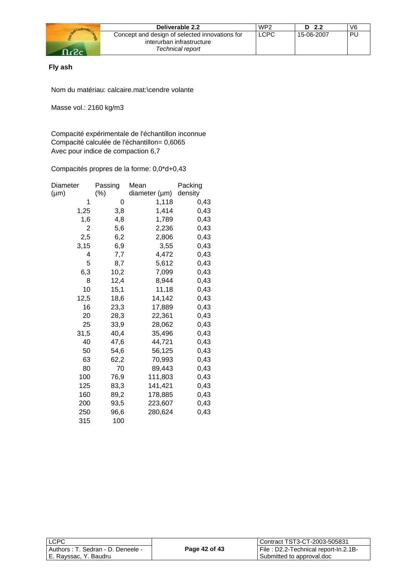

## **Fly ash**

Nom du matériau: calcaire.mat:\cendre volante

Masse vol.: 2160 kg/m3

Compacité expérimentale de l'échantillon inconnue Compacité calculée de l'échantillon= 0,6065 Avec pour indice de compaction 6,7

| Diameter  | Passing | Mean          | Packing |
|-----------|---------|---------------|---------|
| $(\mu m)$ | $(\%)$  | diameter (µm) | density |
| 1         | 0       | 1,118         | 0,43    |
| 1,25      | 3,8     | 1,414         | 0,43    |
| 1,6       | 4,8     | 1,789         | 0,43    |
| 2         | 5,6     | 2,236         | 0,43    |
| 2,5       | 6,2     | 2,806         | 0,43    |
| 3,15      | 6,9     | 3,55          | 0,43    |
| 4         | 7,7     | 4,472         | 0,43    |
| 5         | 8,7     | 5,612         | 0,43    |
| 6,3       | 10,2    | 7,099         | 0,43    |
| 8         | 12,4    | 8,944         | 0,43    |
| 10        | 15,1    | 11,18         | 0,43    |
| 12,5      | 18,6    | 14,142        | 0,43    |
| 16        | 23,3    | 17,889        | 0,43    |
| 20        | 28,3    | 22,361        | 0,43    |
| 25        | 33,9    | 28,062        | 0,43    |
| 31,5      | 40,4    | 35,496        | 0,43    |
| 40        | 47,6    | 44,721        | 0,43    |
| 50        | 54,6    | 56,125        | 0,43    |
| 63        | 62,2    | 70,993        | 0,43    |
| 80        | 70      | 89,443        | 0,43    |
| 100       | 76,9    | 111,803       | 0,43    |
| 125       | 83,3    | 141,421       | 0,43    |
| 160       | 89,2    | 178,885       | 0,43    |
| 200       | 93,5    | 223,607       | 0,43    |
| 250       | 96,6    | 280,624       | 0,43    |
| 315       | 100     |               |         |